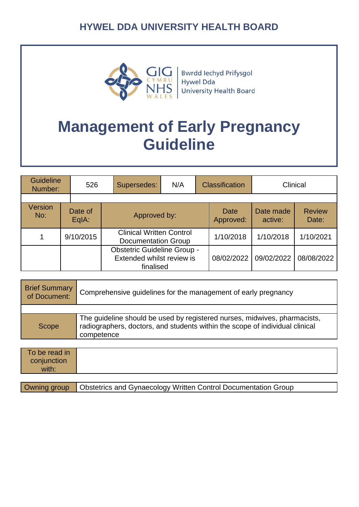

Bwrdd Iechyd Prifysgol Hywel Dda University Health Board

# **Management of Early Pregnancy Guideline**

| <b>Guideline</b><br>Number: | 526              | Supersedes:                                                                  | N/A | <b>Classification</b>    |                      | Clinical               |
|-----------------------------|------------------|------------------------------------------------------------------------------|-----|--------------------------|----------------------|------------------------|
|                             |                  |                                                                              |     |                          |                      |                        |
| <b>Version</b><br>No:       | Date of<br>EqIA: | Approved by:                                                                 |     | <b>Date</b><br>Approved: | Date made<br>active: | <b>Review</b><br>Date: |
|                             | 9/10/2015        | <b>Clinical Written Control</b><br><b>Documentation Group</b>                |     | 1/10/2018                | 1/10/2018            | 1/10/2021              |
|                             |                  | <b>Obstetric Guideline Group -</b><br>Extended whilst review is<br>finalised |     | 08/02/2022               | 09/02/2022           | 08/08/2022             |

| <b>Brief Summary</b><br>of Document: | Comprehensive guidelines for the management of early pregnancy                                                                                                          |
|--------------------------------------|-------------------------------------------------------------------------------------------------------------------------------------------------------------------------|
|                                      |                                                                                                                                                                         |
| Scope                                | The guideline should be used by registered nurses, midwives, pharmacists,<br>radiographers, doctors, and students within the scope of individual clinical<br>competence |
|                                      |                                                                                                                                                                         |
| To be read in<br>conjunction         |                                                                                                                                                                         |

with: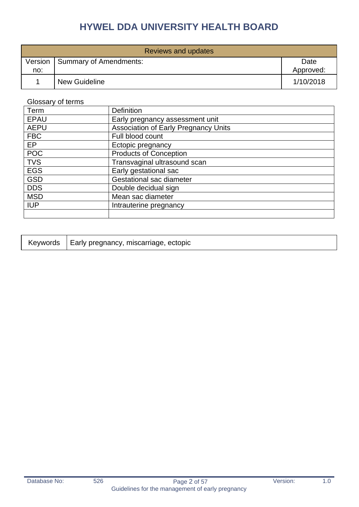| Reviews and updates |                        |                   |  |
|---------------------|------------------------|-------------------|--|
| Version<br>no:      | Summary of Amendments: | Date<br>Approved: |  |
|                     | <b>New Guideline</b>   | 1/10/2018         |  |

#### Glossary of terms

| Term        | <b>Definition</b>                           |
|-------------|---------------------------------------------|
| <b>EPAU</b> | Early pregnancy assessment unit             |
| <b>AEPU</b> | <b>Association of Early Pregnancy Units</b> |
| <b>FBC</b>  | Full blood count                            |
| EP          | Ectopic pregnancy                           |
| <b>POC</b>  | <b>Products of Conception</b>               |
| <b>TVS</b>  | Transvaginal ultrasound scan                |
| <b>EGS</b>  | Early gestational sac                       |
| <b>GSD</b>  | Gestational sac diameter                    |
| <b>DDS</b>  | Double decidual sign                        |
| <b>MSD</b>  | Mean sac diameter                           |
| <b>IUP</b>  | Intrauterine pregnancy                      |
|             |                                             |

|  | Keywords   Early pregnancy, miscarriage, ectopic |
|--|--------------------------------------------------|
|--|--------------------------------------------------|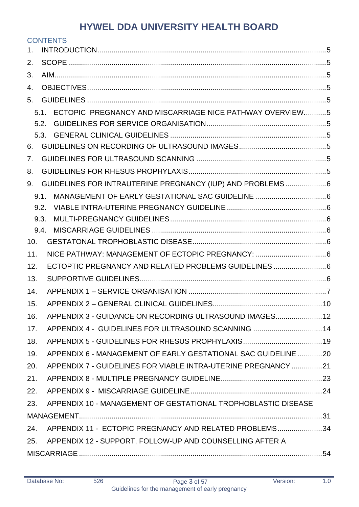|     | <b>CONTENTS</b>                                               |  |
|-----|---------------------------------------------------------------|--|
| 1.  |                                                               |  |
| 2.  |                                                               |  |
| 3.  |                                                               |  |
| 4.  |                                                               |  |
| 5.  |                                                               |  |
|     | 5.1. ECTOPIC PREGNANCY AND MISCARRIAGE NICE PATHWAY OVERVIEW5 |  |
|     |                                                               |  |
|     |                                                               |  |
| 6.  |                                                               |  |
| 7.  |                                                               |  |
| 8.  |                                                               |  |
| 9.  | GUIDELINES FOR INTRAUTERINE PREGNANCY (IUP) AND PROBLEMS 6    |  |
|     | 9.1.                                                          |  |
|     | 9.2.                                                          |  |
|     | 9.3.                                                          |  |
|     | 9.4.                                                          |  |
| 10. |                                                               |  |
| 11. |                                                               |  |
| 12. | ECTOPTIC PREGNANCY AND RELATED PROBLEMS GUIDELINES 6          |  |
| 13. |                                                               |  |
| 14. |                                                               |  |
| 15. |                                                               |  |
| 16. | APPENDIX 3 - GUIDANCE ON RECORDING ULTRASOUND IMAGES 12       |  |
| 17. | APPENDIX 4 - GUIDELINES FOR ULTRASOUND SCANNING 14            |  |
| 18. |                                                               |  |
| 19. | APPENDIX 6 - MANAGEMENT OF EARLY GESTATIONAL SAC GUIDELINE 20 |  |
| 20. | APPENDIX 7 - GUIDELINES FOR VIABLE INTRA-UTERINE PREGNANCY 21 |  |
| 21. |                                                               |  |
| 22. |                                                               |  |
| 23. | APPENDIX 10 - MANAGEMENT OF GESTATIONAL TROPHOBLASTIC DISEASE |  |
|     |                                                               |  |
| 24. | APPENDIX 11 - ECTOPIC PREGNANCY AND RELATED PROBLEMS34        |  |
|     | 25. APPENDIX 12 - SUPPORT, FOLLOW-UP AND COUNSELLING AFTER A  |  |
|     |                                                               |  |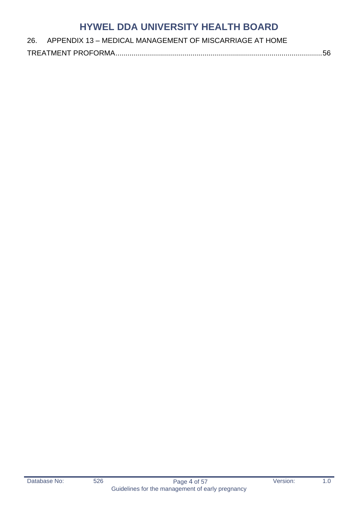#### 26. APPENDIX 13 – [MEDICAL MANAGEMENT OF MISCARRIAGE AT HOME](#page-55-0)

[TREATMENT PROFORMA......................................................................................................56](#page-55-0)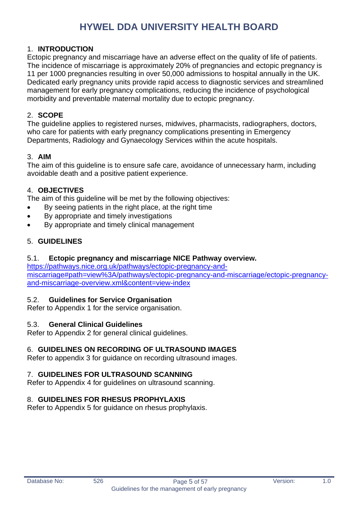#### <span id="page-4-0"></span>1. **INTRODUCTION**

Ectopic pregnancy and miscarriage have an adverse effect on the quality of life of patients. The incidence of miscarriage is approximately 20% of pregnancies and ectopic pregnancy is 11 per 1000 pregnancies resulting in over 50,000 admissions to hospital annually in the UK. Dedicated early pregnancy units provide rapid access to diagnostic services and streamlined management for early pregnancy complications, reducing the incidence of psychological morbidity and preventable maternal mortality due to ectopic pregnancy.

#### <span id="page-4-1"></span>2. **SCOPE**

The guideline applies to registered nurses, midwives, pharmacists, radiographers, doctors, who care for patients with early pregnancy complications presenting in Emergency Departments, Radiology and Gynaecology Services within the acute hospitals.

#### <span id="page-4-2"></span>3. **AIM**

The aim of this guideline is to ensure safe care, avoidance of unnecessary harm, including avoidable death and a positive patient experience.

#### <span id="page-4-3"></span>4. **OBJECTIVES**

The aim of this guideline will be met by the following objectives:

- By seeing patients in the right place, at the right time
- By appropriate and timely investigations
- By appropriate and timely clinical management

#### <span id="page-4-4"></span>5. **GUIDELINES**

#### <span id="page-4-5"></span>5.1. **Ectopic pregnancy and miscarriage NICE Pathway overview.**

[https://pathways.nice.org.uk/pathways/ectopic-pregnancy-and](https://pathways.nice.org.uk/pathways/ectopic-pregnancy-and-miscarriage#path=view%3A/pathways/ectopic-pregnancy-and-miscarriage/ectopic-pregnancy-and-miscarriage-overview.xml&content=view-index)[miscarriage#path=view%3A/pathways/ectopic-pregnancy-and-miscarriage/ectopic-pregnancy](https://pathways.nice.org.uk/pathways/ectopic-pregnancy-and-miscarriage#path=view%3A/pathways/ectopic-pregnancy-and-miscarriage/ectopic-pregnancy-and-miscarriage-overview.xml&content=view-index)[and-miscarriage-overview.xml&content=view-index](https://pathways.nice.org.uk/pathways/ectopic-pregnancy-and-miscarriage#path=view%3A/pathways/ectopic-pregnancy-and-miscarriage/ectopic-pregnancy-and-miscarriage-overview.xml&content=view-index)

#### <span id="page-4-6"></span>5.2. **Guidelines for Service Organisation**

Refer to Appendix 1 for the service organisation.

#### <span id="page-4-7"></span>5.3. **General Clinical Guidelines**

Refer to Appendix 2 for general clinical guidelines.

#### <span id="page-4-8"></span>6. **GUIDELINES ON RECORDING OF ULTRASOUND IMAGES**

Refer to appendix 3 for guidance on recording ultrasound images.

#### <span id="page-4-9"></span>7. **GUIDELINES FOR ULTRASOUND SCANNING**

Refer to Appendix 4 for guidelines on ultrasound scanning.

#### <span id="page-4-10"></span>8. **GUIDELINES FOR RHESUS PROPHYLAXIS**

Refer to Appendix 5 for guidance on rhesus prophylaxis.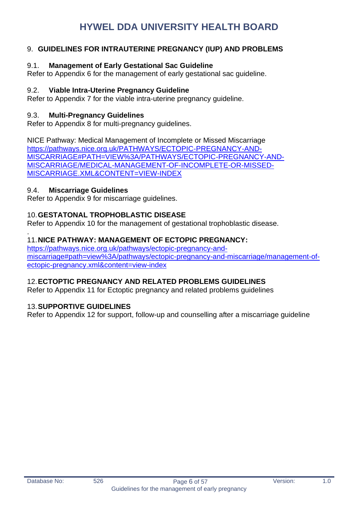#### <span id="page-5-0"></span>9. **GUIDELINES FOR INTRAUTERINE PREGNANCY (IUP) AND PROBLEMS**

#### <span id="page-5-1"></span>9.1. **Management of Early Gestational Sac Guideline**

Refer to Appendix 6 for the management of early gestational sac guideline.

#### <span id="page-5-2"></span>9.2. **Viable Intra-Uterine Pregnancy Guideline**

Refer to Appendix 7 for the viable intra-uterine pregnancy guideline.

#### <span id="page-5-3"></span>9.3. **Multi-Pregnancy Guidelines**

Refer to Appendix 8 for multi-pregnancy guidelines.

NICE Pathway: Medical Management of Incomplete or Missed Miscarriage [https://pathways.nice.org.uk/PATHWAYS/ECTOPIC-PREGNANCY-AND-](https://pathways.nice.org.uk/PATHWAYS/ECTOPIC-PREGNANCY-AND-MISCARRIAGE#PATH=VIEW%3A/PATHWAYS/ECTOPIC-PREGNANCY-AND-MISCARRIAGE/MEDICAL-MANAGEMENT-OF-INCOMPLETE-OR-MISSED-MISCARRIAGE.XML&CONTENT=VIEW-INDEX)[MISCARRIAGE#PATH=VIEW%3A/PATHWAYS/ECTOPIC-PREGNANCY-AND-](https://pathways.nice.org.uk/PATHWAYS/ECTOPIC-PREGNANCY-AND-MISCARRIAGE#PATH=VIEW%3A/PATHWAYS/ECTOPIC-PREGNANCY-AND-MISCARRIAGE/MEDICAL-MANAGEMENT-OF-INCOMPLETE-OR-MISSED-MISCARRIAGE.XML&CONTENT=VIEW-INDEX)[MISCARRIAGE/MEDICAL-MANAGEMENT-OF-INCOMPLETE-OR-MISSED-](https://pathways.nice.org.uk/PATHWAYS/ECTOPIC-PREGNANCY-AND-MISCARRIAGE#PATH=VIEW%3A/PATHWAYS/ECTOPIC-PREGNANCY-AND-MISCARRIAGE/MEDICAL-MANAGEMENT-OF-INCOMPLETE-OR-MISSED-MISCARRIAGE.XML&CONTENT=VIEW-INDEX)[MISCARRIAGE.XML&CONTENT=VIEW-INDEX](https://pathways.nice.org.uk/PATHWAYS/ECTOPIC-PREGNANCY-AND-MISCARRIAGE#PATH=VIEW%3A/PATHWAYS/ECTOPIC-PREGNANCY-AND-MISCARRIAGE/MEDICAL-MANAGEMENT-OF-INCOMPLETE-OR-MISSED-MISCARRIAGE.XML&CONTENT=VIEW-INDEX)

#### <span id="page-5-4"></span>9.4. **Miscarriage Guidelines**

Refer to Appendix 9 for miscarriage guidelines.

#### <span id="page-5-5"></span>10.**GESTATONAL TROPHOBLASTIC DISEASE**

Refer to Appendix 10 for the management of gestational trophoblastic disease.

#### <span id="page-5-6"></span>. 11.**NICE PATHWAY: MANAGEMENT OF ECTOPIC PREGNANCY:**

[https://pathways.nice.org.uk/pathways/ectopic-pregnancy-and](https://pathways.nice.org.uk/pathways/ectopic-pregnancy-and-miscarriage#path=view%3A/pathways/ectopic-pregnancy-and-miscarriage/management-of-ectopic-pregnancy.xml&content=view-index)[miscarriage#path=view%3A/pathways/ectopic-pregnancy-and-miscarriage/management-of](https://pathways.nice.org.uk/pathways/ectopic-pregnancy-and-miscarriage#path=view%3A/pathways/ectopic-pregnancy-and-miscarriage/management-of-ectopic-pregnancy.xml&content=view-index)[ectopic-pregnancy.xml&content=view-index](https://pathways.nice.org.uk/pathways/ectopic-pregnancy-and-miscarriage#path=view%3A/pathways/ectopic-pregnancy-and-miscarriage/management-of-ectopic-pregnancy.xml&content=view-index)

#### <span id="page-5-7"></span>12.**ECTOPTIC PREGNANCY AND RELATED PROBLEMS GUIDELINES**

Refer to Appendix 11 for Ectoptic pregnancy and related problems guidelines

#### <span id="page-5-8"></span>13.**SUPPORTIVE GUIDELINES**

Refer to Appendix 12 for support, follow-up and counselling after a miscarriage guideline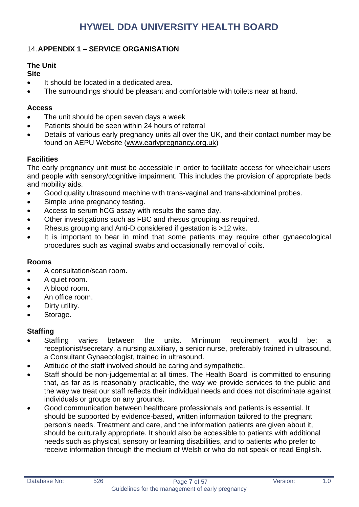#### <span id="page-6-0"></span>14.**APPENDIX 1 – SERVICE ORGANISATION**

#### **The Unit**

#### **Site**

- It should be located in a dedicated area.
- The surroundings should be pleasant and comfortable with toilets near at hand.

#### **Access**

- The unit should be open seven days a week
- Patients should be seen within 24 hours of referral
- Details of various early pregnancy units all over the UK, and their contact number may be found on AEPU Website [\(www.earlypregnancy.org.uk\)](http://www.earlypregnancyorg.uk)will/)

#### **Facilities**

The early pregnancy unit must be accessible in order to facilitate access for wheelchair users and people with sensory/cognitive impairment. This includes the provision of appropriate beds and mobility aids.

- Good quality ultrasound machine with trans-vaginal and trans-abdominal probes.
- Simple urine pregnancy testing.
- Access to serum hCG assay with results the same day.
- Other investigations such as FBC and rhesus grouping as required.
- Rhesus grouping and Anti-D considered if gestation is >12 wks.
- It is important to bear in mind that some patients may require other gynaecological procedures such as vaginal swabs and occasionally removal of coils.

#### **Rooms**

- A consultation/scan room.
- A quiet room.
- A blood room.
- An office room.
- Dirty utility.
- Storage.

#### **Staffing**

- Staffing varies between the units. Minimum requirement would be: a receptionist/secretary, a nursing auxiliary, a senior nurse, preferably trained in ultrasound, a Consultant Gynaecologist, trained in ultrasound.
- Attitude of the staff involved should be caring and sympathetic.
- Staff should be non-judgemental at all times. The Health Board is committed to ensuring that, as far as is reasonably practicable, the way we provide services to the public and the way we treat our staff reflects their individual needs and does not discriminate against individuals or groups on any grounds.
- Good communication between healthcare professionals and patients is essential. It should be supported by evidence-based, written information tailored to the pregnant person's needs. Treatment and care, and the information patients are given about it, should be culturally appropriate. It should also be accessible to patients with additional needs such as physical, sensory or learning disabilities, and to patients who prefer to receive information through the medium of Welsh or who do not speak or read English.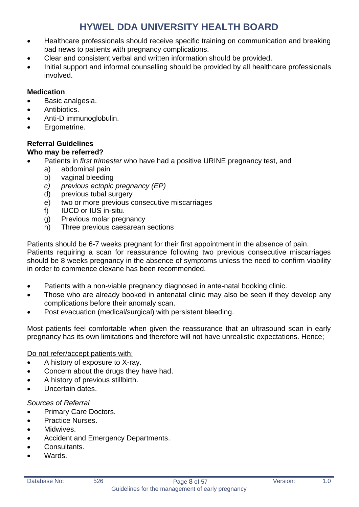- Healthcare professionals should receive specific training on communication and breaking bad news to patients with pregnancy complications.
- Clear and consistent verbal and written information should be provided.
- Initial support and informal counselling should be provided by all healthcare professionals involved.

#### **Medication**

- Basic analgesia.
- Antibiotics.
- Anti-D immunoglobulin.
- Ergometrine.

### **Referral Guidelines**

#### **Who may be referred?**

- Patients in *first trimester* who have had a positive URINE pregnancy test, and
	- a) abdominal pain
	- b) vaginal bleeding
	- *c) previous ectopic pregnancy (EP)*
	- d) previous tubal surgery
	- e) two or more previous consecutive miscarriages
	- f) IUCD or IUS in-situ.
	- g) Previous molar pregnancy
	- h) Three previous caesarean sections

Patients should be 6-7 weeks pregnant for their first appointment in the absence of pain. Patients requiring a scan for reassurance following two previous consecutive miscarriages should be 8 weeks pregnancy in the absence of symptoms unless the need to confirm viability in order to commence clexane has been recommended.

- Patients with a non-viable pregnancy diagnosed in ante-natal booking clinic.
- Those who are already booked in antenatal clinic may also be seen if they develop any complications before their anomaly scan.
- Post evacuation (medical/surgical) with persistent bleeding.

Most patients feel comfortable when given the reassurance that an ultrasound scan in early pregnancy has its own limitations and therefore will not have unrealistic expectations. Hence;

#### Do not refer/accept patients with:

- A history of exposure to X-ray.
- Concern about the drugs they have had.
- A history of previous stillbirth.
- Uncertain dates

#### *Sources of Referral*

- Primary Care Doctors.
- Practice Nurses.
- Midwives.
- Accident and Emergency Departments.
- Consultants.
- Wards.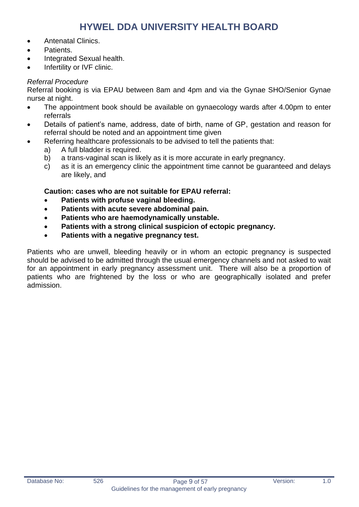- Antenatal Clinics.
- Patients.
- Integrated Sexual health.
- Infertility or IVF clinic.

#### *Referral Procedure*

Referral booking is via EPAU between 8am and 4pm and via the Gynae SHO/Senior Gynae nurse at night.

- The appointment book should be available on gynaecology wards after 4.00pm to enter referrals
- Details of patient's name, address, date of birth, name of GP, gestation and reason for referral should be noted and an appointment time given
- Referring healthcare professionals to be advised to tell the patients that:
	- a) A full bladder is required.
	- b) a trans-vaginal scan is likely as it is more accurate in early pregnancy.
	- c) as it is an emergency clinic the appointment time cannot be guaranteed and delays are likely, and

#### **Caution: cases who are not suitable for EPAU referral:**

- **Patients with profuse vaginal bleeding.**
- **Patients with acute severe abdominal pain.**
- **Patients who are haemodynamically unstable.**
- **Patients with a strong clinical suspicion of ectopic pregnancy.**
- **Patients with a negative pregnancy test.**

Patients who are unwell, bleeding heavily or in whom an ectopic pregnancy is suspected should be advised to be admitted through the usual emergency channels and not asked to wait for an appointment in early pregnancy assessment unit. There will also be a proportion of patients who are frightened by the loss or who are geographically isolated and prefer admission.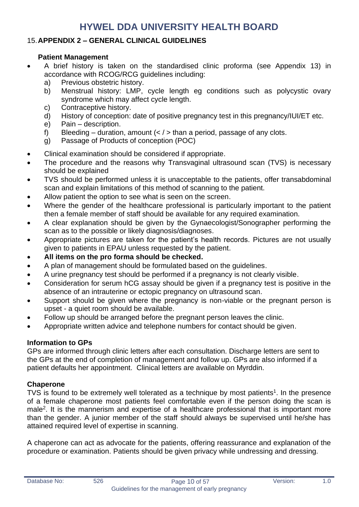#### <span id="page-9-0"></span>15.**APPENDIX 2 – GENERAL CLINICAL GUIDELINES**

#### **Patient Management**

- A brief history is taken on the standardised clinic proforma (see Appendix 13) in accordance with RCOG/RCG guidelines including:
	- a) Previous obstetric history.
	- b) Menstrual history: LMP, cycle length eg conditions such as polycystic ovary syndrome which may affect cycle length.
	- c) Contraceptive history.
	- d) History of conception: date of positive pregnancy test in this pregnancy/IUI/ET etc.
	- e) Pain description.
	- f) Bleeding duration, amount  $\left\langle \langle \rangle \right\rangle$  than a period, passage of any clots.
	- g) Passage of Products of conception (POC)
- Clinical examination should be considered if appropriate.
- The procedure and the reasons why Transvaginal ultrasound scan (TVS) is necessary should be explained
- TVS should be performed unless it is unacceptable to the patients, offer transabdominal scan and explain limitations of this method of scanning to the patient.
- Allow patient the option to see what is seen on the screen.
- Where the gender of the healthcare professional is particularly important to the patient then a female member of staff should be available for any required examination.
- A clear explanation should be given by the Gynaecologist/Sonographer performing the scan as to the possible or likely diagnosis/diagnoses.
- Appropriate pictures are taken for the patient's health records. Pictures are not usually given to patients in EPAU unless requested by the patient.
- **All items on the pro forma should be checked.**
- A plan of management should be formulated based on the guidelines.
- A urine pregnancy test should be performed if a pregnancy is not clearly visible.
- Consideration for serum hCG assay should be given if a pregnancy test is positive in the absence of an intrauterine or ectopic pregnancy on ultrasound scan.
- Support should be given where the pregnancy is non-viable or the pregnant person is upset - a quiet room should be available.
- Follow up should be arranged before the pregnant person leaves the clinic.
- Appropriate written advice and telephone numbers for contact should be given.

#### **Information to GPs**

GPs are informed through clinic letters after each consultation. Discharge letters are sent to the GPs at the end of completion of management and follow up. GPs are also informed if a patient defaults her appointment. Clinical letters are available on Myrddin.

#### **Chaperone**

TVS is found to be extremely well tolerated as a technique by most patients<sup>1</sup>. In the presence of a female chaperone most patients feel comfortable even if the person doing the scan is male<sup>2</sup>. It is the mannerism and expertise of a healthcare professional that is important more than the gender. A junior member of the staff should always be supervised until he/she has attained required level of expertise in scanning.

A chaperone can act as advocate for the patients, offering reassurance and explanation of the procedure or examination. Patients should be given privacy while undressing and dressing.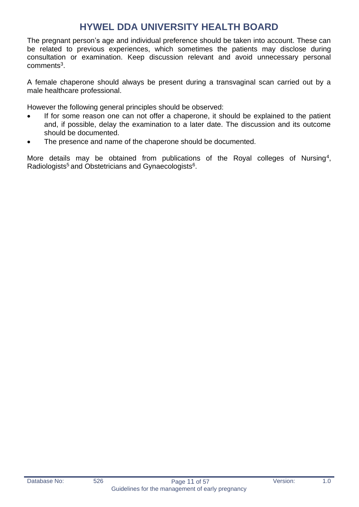The pregnant person's age and individual preference should be taken into account. These can be related to previous experiences, which sometimes the patients may disclose during consultation or examination. Keep discussion relevant and avoid unnecessary personal comments<sup>3</sup>.

A female chaperone should always be present during a transvaginal scan carried out by a male healthcare professional.

However the following general principles should be observed:

- If for some reason one can not offer a chaperone, it should be explained to the patient and, if possible, delay the examination to a later date. The discussion and its outcome should be documented.
- The presence and name of the chaperone should be documented.

More details may be obtained from publications of the Royal colleges of Nursing<sup>4</sup>, Radiologists<sup>5</sup> and Obstetricians and Gynaecologists<sup>6</sup>.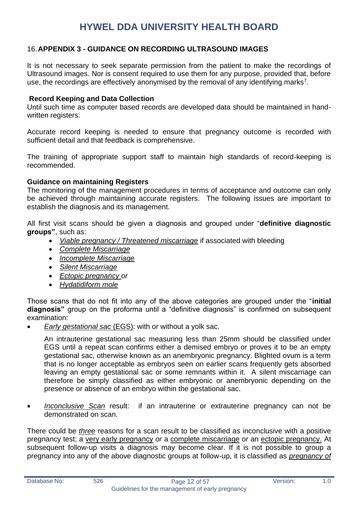#### <span id="page-11-0"></span>16.**APPENDIX 3 - GUIDANCE ON RECORDING ULTRASOUND IMAGES**

It is not necessary to seek separate permission from the patient to make the recordings of Ultrasound images. Nor is consent required to use them for any purpose, provided that, before use, the recordings are effectively anonymised by the removal of any identifying marks<sup>7</sup>.

#### **Record Keeping and Data Collection**

Until such time as computer based records are developed data should be maintained in handwritten registers.

Accurate record keeping is needed to ensure that pregnancy outcome is recorded with sufficient detail and that feedback is comprehensive.

The training of appropriate support staff to maintain high standards of record-keeping is recommended.

#### **Guidance on maintaining Registers**

The monitoring of the management procedures in terms of acceptance and outcome can only be achieved through maintaining accurate registers. The following issues are important to establish the diagnosis and its management.

All first visit scans should be given a diagnosis and grouped under "**definitive diagnostic groups"**, such as:

- *Viable pregnancy / Threatened miscarriage* if associated with bleeding
- *Complete Miscarriage*
- *Incomplete Miscarriage*
- *Silent Miscarriage*
- *Ectopic pregnancy or*
- *Hydatidiform mole*

Those scans that do not fit into any of the above categories are grouped under the "**initial diagnosis"** group on the proforma until a "definitive diagnosis" is confirmed on subsequent examination:

• *Early gestational sac* (EGS): with or without a yolk sac.

An intrauterine gestational sac measuring less than 25mm should be classified under EGS until a repeat scan confirms either a demised embryo or proves it to be an empty gestational sac, otherwise known as an anembryonic pregnancy. Blighted ovum is a term that is no longer acceptable as embryos seen on earlier scans frequently gets absorbed leaving an empty gestational sac or some remnants within it. A silent miscarriage can therefore be simply classified as either embryonic or anembryonic depending on the presence or absence of an embryo within the gestational sac.

• *Inconclusive Scan* result: if an intrauterine or extrauterine pregnancy can not be demonstrated on scan.

There could be *three* reasons for a scan result to be classified as inconclusive with a positive pregnancy test; a very early pregnancy *or* a complete miscarriage *or* an ectopic pregnancy. At subsequent follow-up visits a diagnosis may become clear. If it is not possible to group a pregnancy into any of the above diagnostic groups at follow-up, it is classified as *pregnancy of*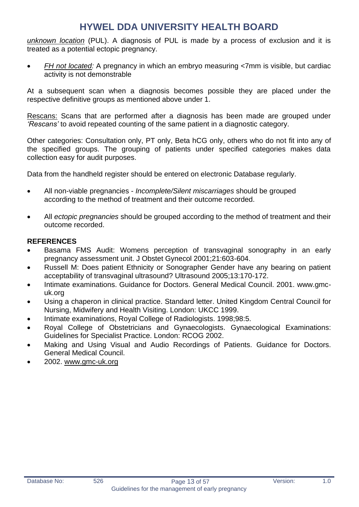*unknown location* (PUL). A diagnosis of PUL is made by a process of exclusion and it is treated as a potential ectopic pregnancy.

• *FH not located:* A pregnancy in which an embryo measuring <7mm is visible, but cardiac activity is not demonstrable

At a subsequent scan when a diagnosis becomes possible they are placed under the respective definitive groups as mentioned above under 1.

Rescans: Scans that are performed after a diagnosis has been made are grouped under *'Rescans'* to avoid repeated counting of the same patient in a diagnostic category.

Other categories: Consultation only, PT only, Beta hCG only, others who do not fit into any of the specified groups. The grouping of patients under specified categories makes data collection easy for audit purposes.

Data from the handheld register should be entered on electronic Database regularly.

- All non-viable pregnancies *Incomplete/Silent miscarriages* should be grouped according to the method of treatment and their outcome recorded.
- All *ectopic pregnancies* should be grouped according to the method of treatment and their outcome recorded.

#### **REFERENCES**

- Basama FMS Audit: Womens perception of transvaginal sonography in an early pregnancy assessment unit. J Obstet Gynecol 2001;21:603-604.
- Russell M: Does patient Ethnicity or Sonographer Gender have any bearing on patient acceptability of transvaginal ultrasound? Ultrasound 2005;13:170-172.
- Intimate examinations. Guidance for Doctors. General Medical Council. 2001. www.gmcuk.org
- Using a chaperon in clinical practice. Standard letter. United Kingdom Central Council for Nursing, Midwifery and Health Visiting. London: UKCC 1999.
- Intimate examinations, Royal College of Radiologists. 1998;98:5.
- Royal College of Obstetricians and Gynaecologists. Gynaecological Examinations: Guidelines for Specialist Practice. London: RCOG 2002.
- Making and Using Visual and Audio Recordings of Patients. Guidance for Doctors. General Medical Council.
- 2002. [www.gmc-uk.org](http://www.gmc-uk.org/)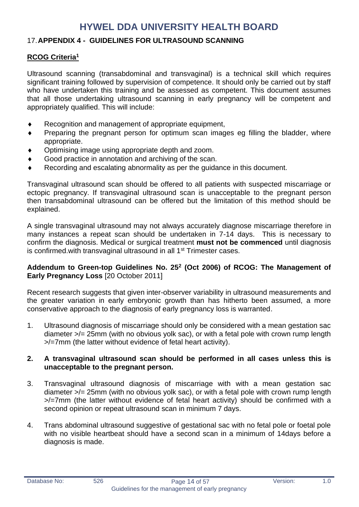#### <span id="page-13-0"></span>17.**APPENDIX 4 - GUIDELINES FOR ULTRASOUND SCANNING**

#### **RCOG Criteria<sup>1</sup>**

Ultrasound scanning (transabdominal and transvaginal) is a technical skill which requires significant training followed by supervision of competence. It should only be carried out by staff who have undertaken this training and be assessed as competent. This document assumes that all those undertaking ultrasound scanning in early pregnancy will be competent and appropriately qualified. This will include:

- Recognition and management of appropriate equipment,
- Preparing the pregnant person for optimum scan images eg filling the bladder, where appropriate.
- Optimising image using appropriate depth and zoom.
- ◆ Good practice in annotation and archiving of the scan.
- Recording and escalating abnormality as per the guidance in this document.

Transvaginal ultrasound scan should be offered to all patients with suspected miscarriage or ectopic pregnancy. If transvaginal ultrasound scan is unacceptable to the pregnant person then transabdominal ultrasound can be offered but the limitation of this method should be explained.

A single transvaginal ultrasound may not always accurately diagnose miscarriage therefore in many instances a repeat scan should be undertaken in 7-14 days. This is necessary to confirm the diagnosis. Medical or surgical treatment **must not be commenced** until diagnosis is confirmed.with transvaginal ultrasound in all 1<sup>st</sup> Trimester cases.

#### **Addendum to Green-top Guidelines No. 25<sup>2</sup> (Oct 2006) of RCOG: The Management of Early Pregnancy Loss** [20 October 2011]

Recent research suggests that given inter-observer variability in ultrasound measurements and the greater variation in early embryonic growth than has hitherto been assumed, a more conservative approach to the diagnosis of early pregnancy loss is warranted.

1. Ultrasound diagnosis of miscarriage should only be considered with a mean gestation sac diameter >/= 25mm (with no obvious yolk sac), or with a fetal pole with crown rump length >/=7mm (the latter without evidence of fetal heart activity).

#### **2. A transvaginal ultrasound scan should be performed in all cases unless this is unacceptable to the pregnant person.**

- 3. Transvaginal ultrasound diagnosis of miscarriage with with a mean gestation sac diameter >/= 25mm (with no obvious yolk sac), or with a fetal pole with crown rump length >/=7mm (the latter without evidence of fetal heart activity) should be confirmed with a second opinion or repeat ultrasound scan in minimum 7 days.
- 4. Trans abdominal ultrasound suggestive of gestational sac with no fetal pole or foetal pole with no visible heartbeat should have a second scan in a minimum of 14days before a diagnosis is made.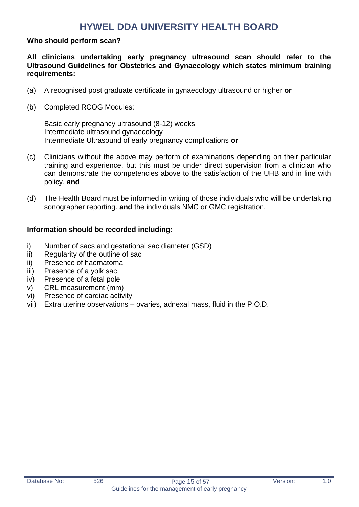#### **Who should perform scan?**

**All clinicians undertaking early pregnancy ultrasound scan should refer to the Ultrasound Guidelines for Obstetrics and Gynaecology which states minimum training requirements:**

- (a) A recognised post graduate certificate in gynaecology ultrasound or higher **or**
- (b) Completed RCOG Modules:

Basic early pregnancy ultrasound (8-12) weeks Intermediate ultrasound gynaecology Intermediate Ultrasound of early pregnancy complications **or**

- (c) Clinicians without the above may perform of examinations depending on their particular training and experience, but this must be under direct supervision from a clinician who can demonstrate the competencies above to the satisfaction of the UHB and in line with policy. **and**
- (d) The Health Board must be informed in writing of those individuals who will be undertaking sonographer reporting. **and** the individuals NMC or GMC registration.

#### **Information should be recorded including:**

- i) Number of sacs and gestational sac diameter (GSD)
- ii) Regularity of the outline of sac
- ii) Presence of haematoma
- iii) Presence of a yolk sac
- iv) Presence of a fetal pole
- v) CRL measurement (mm)
- vi) Presence of cardiac activity
- vii) Extra uterine observations ovaries, adnexal mass, fluid in the P.O.D.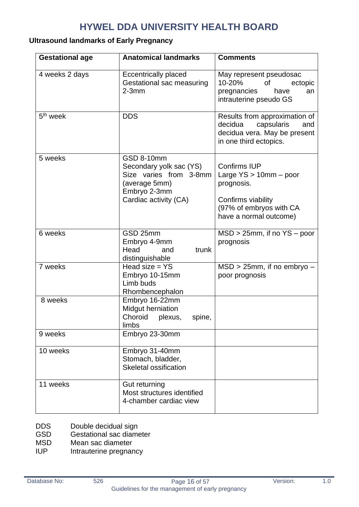#### **Ultrasound landmarks of Early Pregnancy**

| <b>Gestational age</b> | <b>Anatomical landmarks</b>                                                                                               | <b>Comments</b>                                                                                                                             |
|------------------------|---------------------------------------------------------------------------------------------------------------------------|---------------------------------------------------------------------------------------------------------------------------------------------|
| 4 weeks 2 days         | <b>Eccentrically placed</b><br>Gestational sac measuring<br>$2-3mm$                                                       | May represent pseudosac<br>10-20%<br>0f<br>ectopic<br>pregnancies<br>have<br>an<br>intrauterine pseudo GS                                   |
| 5 <sup>th</sup> week   | <b>DDS</b>                                                                                                                | Results from approximation of<br>decidua<br>capsularis<br>and<br>decidua vera. May be present<br>in one third ectopics.                     |
| 5 weeks                | GSD 8-10mm<br>Secondary yolk sac (YS)<br>Size varies from 3-8mm<br>(average 5mm)<br>Embryo 2-3mm<br>Cardiac activity (CA) | <b>Confirms IUP</b><br>Large $YS > 10$ mm $-$ poor<br>prognosis.<br>Confirms viability<br>(97% of embryos with CA<br>have a normal outcome) |
| 6 weeks                | GSD 25mm<br>Embryo 4-9mm<br>Head<br>trunk<br>and<br>distinguishable                                                       | $MSD > 25$ mm, if no $YS - poor$<br>prognosis                                                                                               |
| 7 weeks                | Head size $= YS$<br>Embryo 10-15mm<br>Limb buds<br>Rhombencephalon                                                        | $MSD > 25$ mm, if no embryo –<br>poor prognosis                                                                                             |
| 8 weeks                | Embryo 16-22mm<br>Midgut herniation<br>Choroid<br>plexus,<br>spine,<br>limbs                                              |                                                                                                                                             |
| 9 weeks                | Embryo 23-30mm                                                                                                            |                                                                                                                                             |
| 10 weeks               | Embryo 31-40mm<br>Stomach, bladder,<br><b>Skeletal ossification</b>                                                       |                                                                                                                                             |
| 11 weeks               | Gut returning<br>Most structures identified<br>4-chamber cardiac view                                                     |                                                                                                                                             |

- DDS Double decidual sign<br>
GSD Gestational sac diame
- Gestational sac diameter
- MSD Mean sac diameter
- IUP Intrauterine pregnancy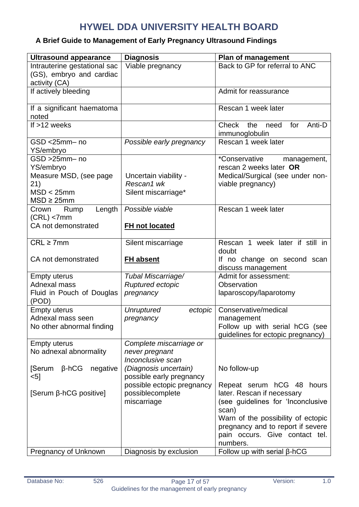### **A Brief Guide to Management of Early Pregnancy Ultrasound Findings**

| <b>Ultrasound appearance</b>                                                                | <b>Diagnosis</b>                                                                          | Plan of management                                                                                                                                                                                                    |
|---------------------------------------------------------------------------------------------|-------------------------------------------------------------------------------------------|-----------------------------------------------------------------------------------------------------------------------------------------------------------------------------------------------------------------------|
| Intrauterine gestational sac<br>(GS), embryo and cardiac                                    | Viable pregnancy                                                                          | Back to GP for referral to ANC                                                                                                                                                                                        |
| activity (CA)<br>If actively bleeding                                                       |                                                                                           | Admit for reassurance                                                                                                                                                                                                 |
| If a significant haematoma<br>noted                                                         |                                                                                           | Rescan 1 week later                                                                                                                                                                                                   |
| If >12 weeks                                                                                |                                                                                           | <b>Check</b><br>the<br>for<br>Anti-D<br>need<br>immunoglobulin                                                                                                                                                        |
| GSD <25mm- no<br>YS/embryo                                                                  | Possible early pregnancy                                                                  | Rescan 1 week later                                                                                                                                                                                                   |
| GSD >25mm-no<br>YS/embryo<br>Measure MSD, (see page<br>21)<br>MSD < 25mm<br>$MSD \geq 25mm$ | Uncertain viability -<br>Rescan1 wk<br>Silent miscarriage*                                | <i>*Conservative</i><br>management,<br>rescan 2 weeks later OR<br>Medical/Surgical (see under non-<br>viable pregnancy)                                                                                               |
| Length<br>Crown<br>Rump<br>$(CRL)$ <7mm<br>CA not demonstrated                              | Possible viable<br>FH not located                                                         | Rescan 1 week later                                                                                                                                                                                                   |
| $CRL \geq 7mm$<br>CA not demonstrated                                                       | Silent miscarriage<br><b>FH absent</b>                                                    | Rescan 1 week later if still in<br>doubt<br>If no change on second scan<br>discuss management                                                                                                                         |
| <b>Empty uterus</b><br>Adnexal mass<br>Fluid in Pouch of Douglas<br>(POD)                   | Tubal Miscarriage/<br>Ruptured ectopic<br>pregnancy                                       | Admit for assessment:<br>Observation<br>laparoscopy/laparotomy                                                                                                                                                        |
| <b>Empty uterus</b><br>Adnexal mass seen<br>No other abnormal finding                       | <b>Unruptured</b><br>ectopic<br>pregnancy                                                 | Conservative/medical<br>management<br>Follow up with serial hCG (see<br>quidelines for ectopic pregnancy)                                                                                                             |
| <b>Empty uterus</b><br>No adnexal abnormality<br>[Serum<br>$\beta$ -hCG<br>negative         | Complete miscarriage or<br>never pregnant<br>Inconclusive scan<br>(Diagnosis uncertain)   | No follow-up                                                                                                                                                                                                          |
| $<$ 5]<br>[Serum β-hCG positive]                                                            | possible early pregnancy<br>possible ectopic pregnancy<br>possiblecomplete<br>miscarriage | Repeat serum hCG 48<br>hours<br>later. Rescan if necessary<br>(see guidelines for 'Inconclusive<br>scan)<br>Warn of the possibility of ectopic<br>pregnancy and to report if severe<br>pain occurs. Give contact tel. |
| Pregnancy of Unknown                                                                        | Diagnosis by exclusion                                                                    | numbers.<br>Follow up with serial $\beta$ -hCG                                                                                                                                                                        |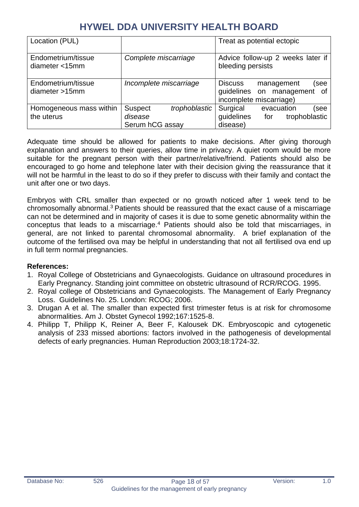| Location (PUL)                          |                                                               | Treat as potential ectopic                                                                        |
|-----------------------------------------|---------------------------------------------------------------|---------------------------------------------------------------------------------------------------|
| Endometrium/tissue<br>diameter $<$ 15mm | Complete miscarriage                                          | Advice follow-up 2 weeks later if<br>bleeding persists                                            |
| Endometrium/tissue<br>diameter > 15mm   | Incomplete miscarriage                                        | <b>Discuss</b><br>(see<br>management<br>guidelines on management<br>of<br>incomplete miscarriage) |
| Homogeneous mass within<br>the uterus   | trophoblastic<br><b>Suspect</b><br>disease<br>Serum hCG assay | Surgical<br>evacuation<br>(see<br>guidelines<br>trophoblastic<br>for<br>disease)                  |

Adequate time should be allowed for patients to make decisions. After giving thorough explanation and answers to their queries, allow time in privacy. A quiet room would be more suitable for the pregnant person with their partner/relative/friend. Patients should also be encouraged to go home and telephone later with their decision giving the reassurance that it will not be harmful in the least to do so if they prefer to discuss with their family and contact the unit after one or two days.

Embryos with CRL smaller than expected or no growth noticed after 1 week tend to be chromosomally abnormal.<sup>3</sup> Patients should be reassured that the exact cause of a miscarriage can not be determined and in majority of cases it is due to some genetic abnormality within the conceptus that leads to a miscarriage.<sup>4</sup> Patients should also be told that miscarriages, in general, are not linked to parental chromosomal abnormality. A brief explanation of the outcome of the fertilised ova may be helpful in understanding that not all fertilised ova end up in full term normal pregnancies.

#### **References:**

- 1. Royal College of Obstetricians and Gynaecologists. Guidance on ultrasound procedures in Early Pregnancy. Standing joint committee on obstetric ultrasound of RCR/RCOG. 1995.
- 2. Royal college of Obstetricians and Gynaecologists. The Management of Early Pregnancy Loss. Guidelines No. 25. London: RCOG; 2006.
- 3. Drugan A et al. The smaller than expected first trimester fetus is at risk for chromosome abnormalities. Am J. Obstet Gynecol 1992;167:1525-8.
- 4. Philipp T, Philipp K, Reiner A, Beer F, Kalousek DK. Embryoscopic and cytogenetic analysis of 233 missed abortions: factors involved in the pathogenesis of developmental defects of early pregnancies. Human Reproduction 2003;18:1724-32.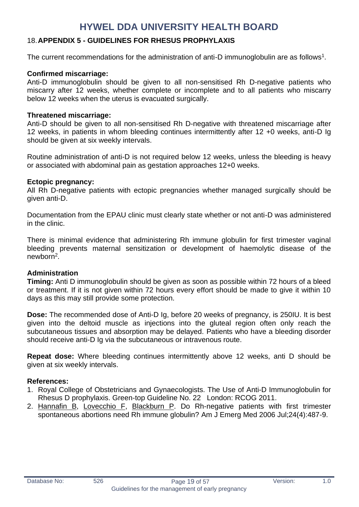#### <span id="page-18-0"></span>18.**APPENDIX 5 - GUIDELINES FOR RHESUS PROPHYLAXIS**

The current recommendations for the administration of anti-D immunoglobulin are as follows<sup>1</sup>.

#### **Confirmed miscarriage:**

Anti-D immunoglobulin should be given to all non-sensitised Rh D-negative patients who miscarry after 12 weeks, whether complete or incomplete and to all patients who miscarry below 12 weeks when the uterus is evacuated surgically.

#### **Threatened miscarriage:**

Anti-D should be given to all non-sensitised Rh D-negative with threatened miscarriage after 12 weeks, in patients in whom bleeding continues intermittently after 12 +0 weeks, anti-D Ig should be given at six weekly intervals.

Routine administration of anti-D is not required below 12 weeks, unless the bleeding is heavy or associated with abdominal pain as gestation approaches 12+0 weeks.

#### **Ectopic pregnancy:**

All Rh D-negative patients with ectopic pregnancies whether managed surgically should be given anti-D.

Documentation from the EPAU clinic must clearly state whether or not anti-D was administered in the clinic.

There is minimal evidence that administering Rh immune globulin for first trimester vaginal bleeding prevents maternal sensitization or development of haemolytic disease of the newborn<sup>2</sup>.

#### **Administration**

**Timing:** Anti D immunoglobulin should be given as soon as possible within 72 hours of a bleed or treatment. If it is not given within 72 hours every effort should be made to give it within 10 days as this may still provide some protection.

**Dose:** The recommended dose of Anti-D Ig, before 20 weeks of pregnancy, is 250IU. It is best given into the deltoid muscle as injections into the gluteal region often only reach the subcutaneous tissues and absorption may be delayed. Patients who have a bleeding disorder should receive anti-D Ig via the subcutaneous or intravenous route.

**Repeat dose:** Where bleeding continues intermittently above 12 weeks, anti D should be given at six weekly intervals.

#### **References:**

- 1. Royal College of Obstetricians and Gynaecologists. The Use of Anti-D Immunoglobulin for Rhesus D prophylaxis. Green-top Guideline No. 22 London: RCOG 2011.
- 2. [Hannafin B,](http://www.ncbi.nlm.nih.gov/entrez/query.fcgi?db=pubmed&cmd=Search&itool=pubmed_Abstract&term=%22Hannafin+B%22%5BAuthor%5D) [Lovecchio F,](http://www.ncbi.nlm.nih.gov/entrez/query.fcgi?db=pubmed&cmd=Search&itool=pubmed_Abstract&term=%22Lovecchio+F%22%5BAuthor%5D) [Blackburn P.](http://www.ncbi.nlm.nih.gov/entrez/query.fcgi?db=pubmed&cmd=Search&itool=pubmed_Abstract&term=%22Blackburn+P%22%5BAuthor%5D) Do Rh-negative patients with first trimester spontaneous abortions need Rh immune globulin? Am J Emerg Med 2006 Jul;24(4):487-9.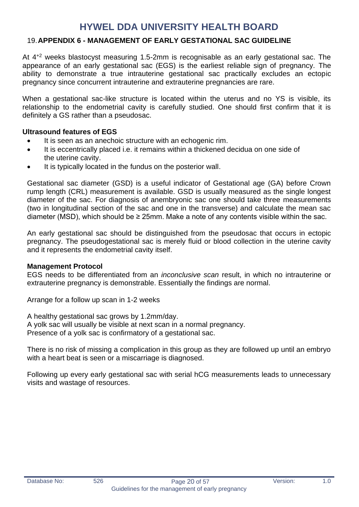#### <span id="page-19-0"></span>19.**APPENDIX 6 - MANAGEMENT OF EARLY GESTATIONAL SAC GUIDELINE**

At 4+2 weeks blastocyst measuring 1.5-2mm is recognisable as an early gestational sac. The appearance of an early gestational sac (EGS) is the earliest reliable sign of pregnancy. The ability to demonstrate a true intrauterine gestational sac practically excludes an ectopic pregnancy since concurrent intrauterine and extrauterine pregnancies are rare.

When a gestational sac-like structure is located within the uterus and no YS is visible, its relationship to the endometrial cavity is carefully studied. One should first confirm that it is definitely a GS rather than a pseudosac.

#### **Ultrasound features of EGS**

- It is seen as an anechoic structure with an echogenic rim.
- It is eccentrically placed i.e. it remains within a thickened decidua on one side of the uterine cavity.
- It is typically located in the fundus on the posterior wall.

Gestational sac diameter (GSD) is a useful indicator of Gestational age (GA) before Crown rump length (CRL) measurement is available. GSD is usually measured as the single longest diameter of the sac. For diagnosis of anembryonic sac one should take three measurements (two in longitudinal section of the sac and one in the transverse) and calculate the mean sac diameter (MSD), which should be  $\geq 25$ mm. Make a note of any contents visible within the sac.

An early gestational sac should be distinguished from the pseudosac that occurs in ectopic pregnancy. The pseudogestational sac is merely fluid or blood collection in the uterine cavity and it represents the endometrial cavity itself.

#### **Management Protocol**

EGS needs to be differentiated from an *inconclusive scan* result, in which no intrauterine or extrauterine pregnancy is demonstrable. Essentially the findings are normal.

Arrange for a follow up scan in 1-2 weeks

A healthy gestational sac grows by 1.2mm/day.

A yolk sac will usually be visible at next scan in a normal pregnancy.

Presence of a yolk sac is confirmatory of a gestational sac.

There is no risk of missing a complication in this group as they are followed up until an embryo with a heart beat is seen or a miscarriage is diagnosed.

Following up every early gestational sac with serial hCG measurements leads to unnecessary visits and wastage of resources.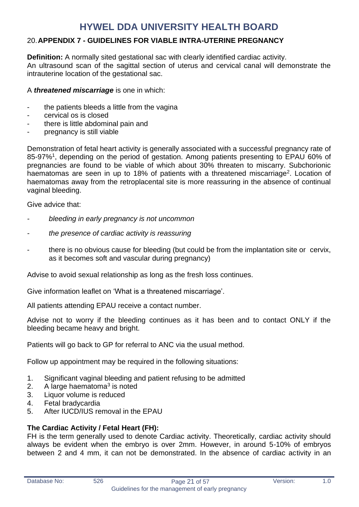#### <span id="page-20-0"></span>20.**APPENDIX 7 - GUIDELINES FOR VIABLE INTRA-UTERINE PREGNANCY**

**Definition:** A normally sited gestational sac with clearly identified cardiac activity. An ultrasound scan of the sagittal section of uterus and cervical canal will demonstrate the intrauterine location of the gestational sac.

#### A *threatened miscarriage* is one in which:

- the patients bleeds a little from the vagina
- cervical os is closed
- there is little abdominal pain and
- pregnancy is still viable

Demonstration of fetal heart activity is generally associated with a successful pregnancy rate of 85-97%<sup>1</sup>, depending on the period of gestation. Among patients presenting to EPAU 60% of pregnancies are found to be viable of which about 30% threaten to miscarry. Subchorionic haematomas are seen in up to 18% of patients with a threatened miscarriage<sup>2</sup>. Location of haematomas away from the retroplacental site is more reassuring in the absence of continual vaginal bleeding.

Give advice that:

- *- bleeding in early pregnancy is not uncommon*
- *- the presence of cardiac activity is reassuring*
- there is no obvious cause for bleeding (but could be from the implantation site or cervix, as it becomes soft and vascular during pregnancy)

Advise to avoid sexual relationship as long as the fresh loss continues.

Give information leaflet on 'What is a threatened miscarriage'.

All patients attending EPAU receive a contact number.

Advise not to worry if the bleeding continues as it has been and to contact ONLY if the bleeding became heavy and bright.

Patients will go back to GP for referral to ANC via the usual method.

Follow up appointment may be required in the following situations:

- 1. Significant vaginal bleeding and patient refusing to be admitted
- 2. A large haematoma<sup>3</sup> is noted
- 3. Liquor volume is reduced
- 4. Fetal bradycardia
- 5. After IUCD/IUS removal in the EPAU

#### **The Cardiac Activity / Fetal Heart (FH):**

FH is the term generally used to denote Cardiac activity. Theoretically, cardiac activity should always be evident when the embryo is over 2mm. However, in around 5-10% of embryos between 2 and 4 mm, it can not be demonstrated. In the absence of cardiac activity in an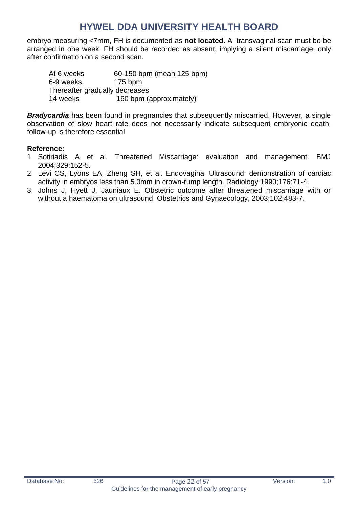embryo measuring <7mm, FH is documented as **not located.** A transvaginal scan must be be arranged in one week. FH should be recorded as absent, implying a silent miscarriage, only after confirmation on a second scan.

At 6 weeks 60-150 bpm (mean 125 bpm) 6-9 weeks 175 bpm Thereafter gradually decreases 14 weeks 160 bpm (approximately)

**Bradycardia** has been found in pregnancies that subsequently miscarried. However, a single observation of slow heart rate does not necessarily indicate subsequent embryonic death, follow-up is therefore essential.

#### **Reference:**

- 1. Sotiriadis A et al. Threatened Miscarriage: evaluation and management. BMJ 2004;329:152-5.
- 2. Levi CS, Lyons EA, Zheng SH, et al. Endovaginal Ultrasound: demonstration of cardiac activity in embryos less than 5.0mm in crown-rump length. Radiology 1990;176:71-4.
- 3. Johns J, Hyett J, Jauniaux E. Obstetric outcome after threatened miscarriage with or without a haematoma on ultrasound. Obstetrics and Gynaecology, 2003;102:483-7.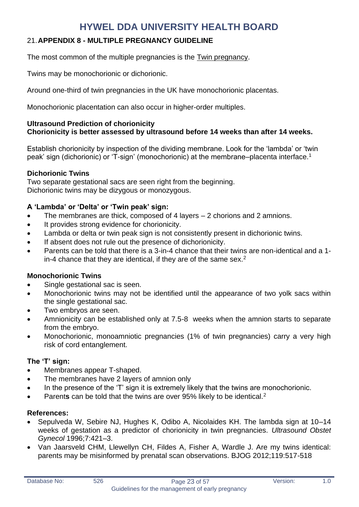### <span id="page-22-0"></span>21.**APPENDIX 8 - MULTIPLE PREGNANCY GUIDELINE**

The most common of the multiple pregnancies is the Twin pregnancy.

Twins may be monochorionic or dichorionic.

Around one-third of twin pregnancies in the UK have monochorionic placentas.

Monochorionic placentation can also occur in higher-order multiples.

#### **Ultrasound Prediction of chorionicity Chorionicity is better assessed by ultrasound before 14 weeks than after 14 weeks.**

Establish chorionicity by inspection of the dividing membrane. Look for the 'lambda' or 'twin peak' sign (dichorionic) or 'T-sign' (monochorionic) at the membrane–placenta interface.<sup>1</sup>

#### **Dichorionic Twins**

Two separate gestational sacs are seen right from the beginning. Dichorionic twins may be dizygous or monozygous.

#### **A 'Lambda' or 'Delta' or 'Twin peak' sign:**

- The membranes are thick, composed of 4 layers 2 chorions and 2 amnions.
- It provides strong evidence for chorionicity.
- Lambda or delta or twin peak sign is not consistently present in dichorionic twins.
- If absent does not rule out the presence of dichorionicity.
- Parents can be told that there is a 3-in-4 chance that their twins are non-identical and a 1 in-4 chance that they are identical, if they are of the same sex. $<sup>2</sup>$ </sup>

#### **Monochorionic Twins**

- Single gestational sac is seen.
- Monochorionic twins may not be identified until the appearance of two yolk sacs within the single gestational sac.
- Two embryos are seen.
- Amnionicity can be established only at 7.5-8 weeks when the amnion starts to separate from the embryo.
- Monochorionic, monoamniotic pregnancies (1% of twin pregnancies) carry a very high risk of cord entanglement.

#### **The 'T' sign:**

- Membranes appear T-shaped.
- The membranes have 2 layers of amnion only
- In the presence of the 'T' sign it is extremely likely that the twins are monochorionic.
- Parent**s** can be told that the twins are over 95% likely to be identical.<sup>2</sup>

#### **References:**

- Sepulveda W, Sebire NJ, Hughes K, Odibo A, Nicolaides KH. The lambda sign at 10–14 weeks of gestation as a predictor of chorionicity in twin pregnancies. *Ultrasound Obstet Gynecol* 1996;7:421–3.
- Van Jaarsveld CHM, Llewellyn CH, Fildes A, Fisher A, Wardle J. Are my twins identical: parents may be misinformed by prenatal scan observations. BJOG 2012;119:517-518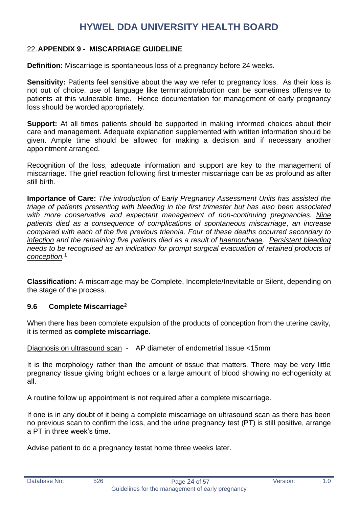#### <span id="page-23-0"></span>22.**APPENDIX 9 - MISCARRIAGE GUIDELINE**

**Definition:** Miscarriage is spontaneous loss of a pregnancy before 24 weeks.

**Sensitivity:** Patients feel sensitive about the way we refer to pregnancy loss. As their loss is not out of choice, use of language like termination/abortion can be sometimes offensive to patients at this vulnerable time. Hence documentation for management of early pregnancy loss should be worded appropriately.

**Support:** At all times patients should be supported in making informed choices about their care and management. Adequate explanation supplemented with written information should be given. Ample time should be allowed for making a decision and if necessary another appointment arranged.

Recognition of the loss, adequate information and support are key to the management of miscarriage. The grief reaction following first trimester miscarriage can be as profound as after still birth.

**Importance of Care:** *The introduction of Early Pregnancy Assessment Units has assisted the triage of patients presenting with bleeding in the first trimester but has also been associated with more conservative and expectant management of non-continuing pregnancies. Nine patients died as a consequence of complications of spontaneous miscarriage, an increase compared with each of the five previous triennia. Four of these deaths occurred secondary to infection and the remaining five patients died as a result of haemorrhage. Persistent bleeding needs to be recognised as an indication for prompt surgical evacuation of retained products of conception.* 1

**Classification:** A miscarriage may be Complete, Incomplete/Inevitable or Silent, depending on the stage of the process.

#### **9.6 Complete Miscarriage<sup>2</sup>**

When there has been complete expulsion of the products of conception from the uterine cavity, it is termed as **complete miscarriage**.

Diagnosis on ultrasound scan - AP diameter of endometrial tissue <15mm

It is the morphology rather than the amount of tissue that matters. There may be very little pregnancy tissue giving bright echoes or a large amount of blood showing no echogenicity at all.

A routine follow up appointment is not required after a complete miscarriage.

If one is in any doubt of it being a complete miscarriage on ultrasound scan as there has been no previous scan to confirm the loss, and the urine pregnancy test (PT) is still positive, arrange a PT in three week's time.

Advise patient to do a pregnancy testat home three weeks later.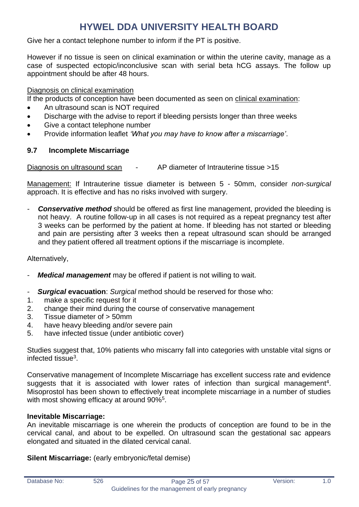Give her a contact telephone number to inform if the PT is positive.

However if no tissue is seen on clinical examination or within the uterine cavity, manage as a case of suspected ectopic/inconclusive scan with serial beta hCG assays. The follow up appointment should be after 48 hours.

Diagnosis on clinical examination

If the products of conception have been documented as seen on clinical examination:

- An ultrasound scan is NOT required
- Discharge with the advise to report if bleeding persists longer than three weeks
- Give a contact telephone number
- Provide information leaflet *'What you may have to know after a miscarriage'*.

#### **9.7 Incomplete Miscarriage**

Diagnosis on ultrasound scan - AP diameter of Intrauterine tissue >15

Management: If Intrauterine tissue diameter is between 5 - 50mm, consider *non-surgical* approach. It is effective and has no risks involved with surgery.

**Conservative method** should be offered as first line management, provided the bleeding is not heavy. A routine follow-up in all cases is not required as a repeat pregnancy test after 3 weeks can be performed by the patient at home. If bleeding has not started or bleeding and pain are persisting after 3 weeks then a repeat ultrasound scan should be arranged and they patient offered all treatment options if the miscarriage is incomplete.

Alternatively,

- *Medical management* may be offered if patient is not willing to wait.
- *Surgical* **evacuation**: *Surgical* method should be reserved for those who:
- 1. make a specific request for it
- 2. change their mind during the course of conservative management
- 3. Tissue diameter of > 50mm
- 4. have heavy bleeding and/or severe pain
- 5. have infected tissue (under antibiotic cover)

Studies suggest that, 10% patients who miscarry fall into categories with unstable vital signs or infected tissue<sup>3</sup>.

Conservative management of Incomplete Miscarriage has excellent success rate and evidence suggests that it is associated with lower rates of infection than surgical management<sup>4</sup>. Misoprostol has been shown to effectively treat incomplete miscarriage in a number of studies with most showing efficacy at around 90%<sup>5</sup>.

#### **Inevitable Miscarriage:**

An inevitable miscarriage is one wherein the products of conception are found to be in the cervical canal, and about to be expelled. On ultrasound scan the gestational sac appears elongated and situated in the dilated cervical canal.

**Silent Miscarriage:** (early embryonic/fetal demise)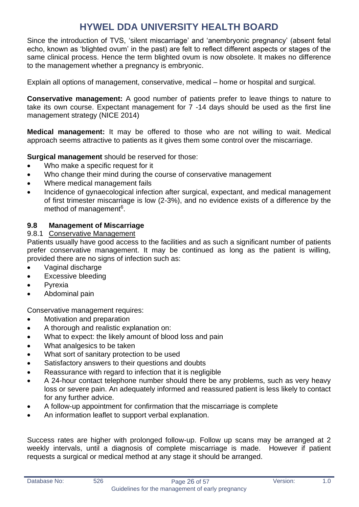Since the introduction of TVS, 'silent miscarriage' and 'anembryonic pregnancy' (absent fetal echo, known as 'blighted ovum' in the past) are felt to reflect different aspects or stages of the same clinical process. Hence the term blighted ovum is now obsolete. It makes no difference to the management whether a pregnancy is embryonic.

Explain all options of management, conservative, medical – home or hospital and surgical.

**Conservative management:** A good number of patients prefer to leave things to nature to take its own course. Expectant management for 7 -14 days should be used as the first line management strategy (NICE 2014)

**Medical management:** It may be offered to those who are not willing to wait. Medical approach seems attractive to patients as it gives them some control over the miscarriage.

**Surgical management** should be reserved for those:

- Who make a specific request for it
- Who change their mind during the course of conservative management
- Where medical management fails
- Incidence of gynaecological infection after surgical, expectant, and medical management of first trimester miscarriage is low (2-3%), and no evidence exists of a difference by the method of management<sup>6</sup>.

#### **9.8 Management of Miscarriage**

#### 9.8.1 Conservative Management

Patients usually have good access to the facilities and as such a significant number of patients prefer conservative management. It may be continued as long as the patient is willing, provided there are no signs of infection such as:

- Vaginal discharge
- Excessive bleeding
- **Pyrexia**
- Abdominal pain

Conservative management requires:

- Motivation and preparation
- A thorough and realistic explanation on:
- What to expect: the likely amount of blood loss and pain
- What analgesics to be taken
- What sort of sanitary protection to be used
- Satisfactory answers to their questions and doubts
- Reassurance with regard to infection that it is negligible
- A 24-hour contact telephone number should there be any problems, such as very heavy loss or severe pain. An adequately informed and reassured patient is less likely to contact for any further advice.
- A follow-up appointment for confirmation that the miscarriage is complete
- An information leaflet to support verbal explanation.

Success rates are higher with prolonged follow-up. Follow up scans may be arranged at 2 weekly intervals, until a diagnosis of complete miscarriage is made. However if patient requests a surgical or medical method at any stage it should be arranged.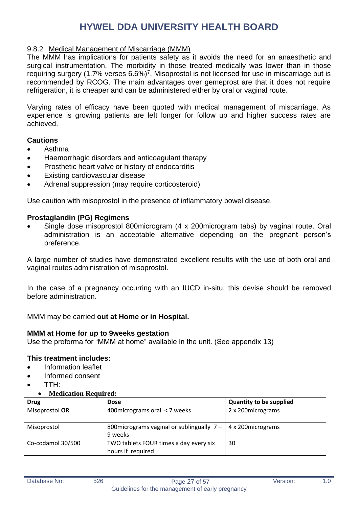#### 9.8.2 Medical Management of Miscarriage (MMM)

The MMM has implications for patients safety as it avoids the need for an anaesthetic and surgical instrumentation. The morbidity in those treated medically was lower than in those requiring surgery (1.7% verses 6.6%)<sup>7</sup>. Misoprostol is not licensed for use in miscarriage but is recommended by RCOG. The main advantages over gemeprost are that it does not require refrigeration, it is cheaper and can be administered either by oral or vaginal route.

Varying rates of efficacy have been quoted with medical management of miscarriage. As experience is growing patients are left longer for follow up and higher success rates are achieved.

#### **Cautions**

- Asthma
- Haemorrhagic disorders and anticoagulant therapy
- Prosthetic heart valve or history of endocarditis
- Existing cardiovascular disease
- Adrenal suppression (may require corticosteroid)

Use caution with misoprostol in the presence of inflammatory bowel disease.

#### **Prostaglandin (PG) Regimens**

• Single dose misoprostol 800microgram (4 x 200microgram tabs) by vaginal route. Oral administration is an acceptable alternative depending on the pregnant person's preference.

A large number of studies have demonstrated excellent results with the use of both oral and vaginal routes administration of misoprostol.

In the case of a pregnancy occurring with an IUCD in-situ, this devise should be removed before administration.

MMM may be carried **out at Home or in Hospital.**

#### **MMM at Home for up to 9weeks gestation**

Use the proforma for "MMM at home" available in the unit. (See appendix 13)

#### **This treatment includes:**

- Information leaflet
- Informed consent
- TTH:
	- **Medication Required:**

| <b>Drug</b>       | <b>Dose</b>                                                          | <b>Quantity to be supplied</b> |
|-------------------|----------------------------------------------------------------------|--------------------------------|
| Misoprostol OR    | 400 micrograms oral <7 weeks                                         | 2 x 200 micrograms             |
|                   |                                                                      |                                |
| Misoprostol       | 800 micrograms vaginal or sublingually $7 - 4 \times 200$ micrograms |                                |
|                   | 9 weeks                                                              |                                |
| Co-codamol 30/500 | TWO tablets FOUR times a day every six                               | 30                             |
|                   | hours if required                                                    |                                |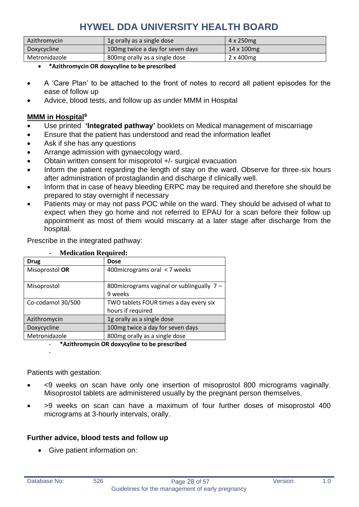| Azithromycin  | 1g orally as a single dose        | 4 x 250 mg  |
|---------------|-----------------------------------|-------------|
| Doxycycline   | 100 mg twice a day for seven days | 14 x 100 mg |
| Metronidazole | 800mg orally as a single dose     | 2 x 400 mg  |

- **\*Azithromycin OR doxycyline to be prescribed**
- A 'Care Plan' to be attached to the front of notes to record all patient episodes for the ease of follow up
- Advice, blood tests, and follow up as under MMM in Hospital

#### **MMM in Hospital<sup>9</sup>**

- Use printed **'Integrated pathway'** booklets on Medical management of miscarriage
- Ensure that the patient has understood and read the information leaflet
- Ask if she has any questions
- Arrange admission with gynaecology ward.
- Obtain written consent for misoprotol +/- surgical evacuation
- Inform the patient regarding the length of stay on the ward. Observe for three-six hours after administration of prostaglandin and discharge if clinically well.
- Inform that in case of heavy bleeding ERPC may be required and therefore she should be prepared to stay overnight if necessary
- Patients may or may not pass POC while on the ward. They should be advised of what to expect when they go home and not referred to EPAU for a scan before their follow up appointment as most of them would miscarry at a later stage after discharge from the hospital.

Prescribe in the integrated pathway:

| <b>Medication Required:</b> |                                            |  |  |  |
|-----------------------------|--------------------------------------------|--|--|--|
| <b>Drug</b>                 | <b>Dose</b>                                |  |  |  |
| Misoprostol OR              | 400 micrograms oral < 7 weeks              |  |  |  |
| Misoprostol                 | 800 micrograms vaginal or sublingually 7 - |  |  |  |
|                             | 9 weeks                                    |  |  |  |
| Co-codamol 30/500           | TWO tablets FOUR times a day every six     |  |  |  |
|                             | hours if required                          |  |  |  |
| Azithromycin                | 1g orally as a single dose                 |  |  |  |
| Doxycycline                 | 100mg twice a day for seven days           |  |  |  |
| Metronidazole               | 800mg orally as a single dose              |  |  |  |
| .                           |                                            |  |  |  |

#### - **\*Azithromycin OR doxycyline to be prescribed**

Patients with gestation:

-

- <9 weeks on scan have only one insertion of misoprostol 800 micrograms vaginally. Misoprostol tablets are administered usually by the pregnant person themselves.
- >9 weeks on scan can have a maximum of four further doses of misoprostol 400 micrograms at 3-hourly intervals, orally.

#### **Further advice, blood tests and follow up**

• Give patient information on: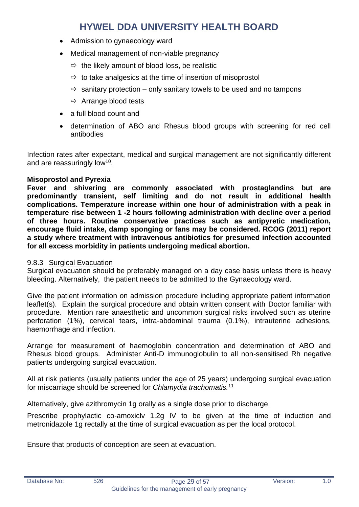- Admission to gynaecology ward
- Medical management of non-viable pregnancy
	- $\Rightarrow$  the likely amount of blood loss, be realistic
	- $\Rightarrow$  to take analgesics at the time of insertion of misoprostol
	- $\Rightarrow$  sanitary protection only sanitary towels to be used and no tampons
	- $\Rightarrow$  Arrange blood tests
- a full blood count and
- determination of ABO and Rhesus blood groups with screening for red cell antibodies

Infection rates after expectant, medical and surgical management are not significantly different and are reassuringly low<sup>10</sup>.

#### **Misoprostol and Pyrexia**

**Fever and shivering are commonly associated with prostaglandins but are predominantly transient, self limiting and do not result in additional health complications. Temperature increase within one hour of administration with a peak in temperature rise between 1 -2 hours following administration with decline over a period of three hours. Routine conservative practices such as antipyretic medication, encourage fluid intake, damp sponging or fans may be considered. RCOG (2011) report a study where treatment with intravenous antibiotics for presumed infection accounted for all excess morbidity in patients undergoing medical abortion.**

#### 9.8.3 Surgical Evacuation

Surgical evacuation should be preferably managed on a day case basis unless there is heavy bleeding. Alternatively, the patient needs to be admitted to the Gynaecology ward.

Give the patient information on admission procedure including appropriate patient information leaflet(s). Explain the surgical procedure and obtain written consent with Doctor familiar with procedure. Mention rare anaesthetic and uncommon surgical risks involved such as uterine perforation (1%), cervical tears, intra-abdominal trauma (0.1%), intrauterine adhesions, haemorrhage and infection.

Arrange for measurement of haemoglobin concentration and determination of ABO and Rhesus blood groups. Administer Anti-D immunoglobulin to all non-sensitised Rh negative patients undergoing surgical evacuation.

All at risk patients (usually patients under the age of 25 years) undergoing surgical evacuation for miscarriage should be screened for *Chlamydia trachomatis.*<sup>11</sup>

Alternatively, give azithromycin 1g orally as a single dose prior to discharge.

Prescribe prophylactic co-amoxiclv 1.2g IV to be given at the time of induction and metronidazole 1g rectally at the time of surgical evacuation as per the local protocol.

Ensure that products of conception are seen at evacuation.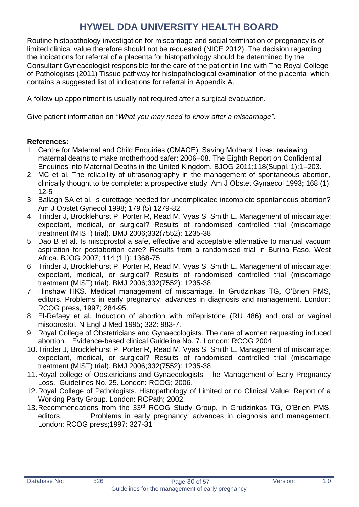Routine histopathology investigation for miscarriage and social termination of pregnancy is of limited clinical value therefore should not be requested (NICE 2012). The decision regarding the indications for referral of a placenta for histopathology should be determined by the Consultant Gyneacologist responsible for the care of the patient in line with The Royal College of Pathologists (2011) Tissue pathway for histopathological examination of the placenta which contains a suggested list of indications for referral in Appendix A.

A follow-up appointment is usually not required after a surgical evacuation.

Give patient information on *"What you may need to know after a miscarriage".* 

#### **References:**

- 1. Centre for Maternal and Child Enquiries (CMACE). Saving Mothers' Lives: reviewing maternal deaths to make motherhood safer: 2006–08. The Eighth Report on Confidential Enquiries into Maternal Deaths in the United Kingdom. BJOG 2011;118(Suppl. 1):1–203.
- 2. MC et al. The reliability of ultrasonography in the management of spontaneous abortion, clinically thought to be complete: a prospective study. Am J Obstet Gynaecol 1993; 168 (1): 12-5
- 3. Ballagh SA et al. Is curettage needed for uncomplicated incomplete spontaneous abortion? Am J Obstet Gynecol 1998; 179 (5) 1279-82.
- 4. [Trinder J,](http://www.ncbi.nlm.nih.gov/entrez/query.fcgi?db=pubmed&cmd=Search&itool=pubmed_Abstract&term=%22Trinder+J%22%5BAuthor%5D) [Brocklehurst P,](http://www.ncbi.nlm.nih.gov/entrez/query.fcgi?db=pubmed&cmd=Search&itool=pubmed_Abstract&term=%22Brocklehurst+P%22%5BAuthor%5D) [Porter R,](http://www.ncbi.nlm.nih.gov/entrez/query.fcgi?db=pubmed&cmd=Search&itool=pubmed_Abstract&term=%22Porter+R%22%5BAuthor%5D) [Read M,](http://www.ncbi.nlm.nih.gov/entrez/query.fcgi?db=pubmed&cmd=Search&itool=pubmed_Abstract&term=%22Read+M%22%5BAuthor%5D) [Vyas S,](http://www.ncbi.nlm.nih.gov/entrez/query.fcgi?db=pubmed&cmd=Search&itool=pubmed_Abstract&term=%22Vyas+S%22%5BAuthor%5D) [Smith L.](http://www.ncbi.nlm.nih.gov/entrez/query.fcgi?db=pubmed&cmd=Search&itool=pubmed_Abstract&term=%22Smith+L%22%5BAuthor%5D) Management of miscarriage: expectant, medical, or surgical? Results of randomised controlled trial (miscarriage treatment (MIST) trial). BMJ 2006;332(7552): 1235-38
- 5. Dao B et al. Is misoprostol a safe, effective and acceptable alternative to manual vacuum aspiration for postabortion care? Results from a randomised trial in Burina Faso, West Africa. BJOG 2007; 114 (11): 1368-75
- 6. [Trinder J,](http://www.ncbi.nlm.nih.gov/entrez/query.fcgi?db=pubmed&cmd=Search&itool=pubmed_Abstract&term=%22Trinder+J%22%5BAuthor%5D) [Brocklehurst P,](http://www.ncbi.nlm.nih.gov/entrez/query.fcgi?db=pubmed&cmd=Search&itool=pubmed_Abstract&term=%22Brocklehurst+P%22%5BAuthor%5D) [Porter R,](http://www.ncbi.nlm.nih.gov/entrez/query.fcgi?db=pubmed&cmd=Search&itool=pubmed_Abstract&term=%22Porter+R%22%5BAuthor%5D) [Read M,](http://www.ncbi.nlm.nih.gov/entrez/query.fcgi?db=pubmed&cmd=Search&itool=pubmed_Abstract&term=%22Read+M%22%5BAuthor%5D) [Vyas S,](http://www.ncbi.nlm.nih.gov/entrez/query.fcgi?db=pubmed&cmd=Search&itool=pubmed_Abstract&term=%22Vyas+S%22%5BAuthor%5D) [Smith L.](http://www.ncbi.nlm.nih.gov/entrez/query.fcgi?db=pubmed&cmd=Search&itool=pubmed_Abstract&term=%22Smith+L%22%5BAuthor%5D) Management of miscarriage: expectant, medical, or surgical? Results of randomised controlled trial (miscarriage treatment (MIST) trial). BMJ 2006;332(7552): 1235-38
- 7. Hinshaw HKS. Medical management of miscarriage. In Grudzinkas TG, O'Brien PMS, editors. Problems in early pregnancy: advances in diagnosis and management. London: RCOG press, 1997; 284-95.
- 8. El-Refaey et al. Induction of abortion with mifepristone (RU 486) and oral or vaginal misoprostol. N Engl J Med 1995; 332: 983-7.
- 9. Royal College of Obstetricians and Gynaecologists. The care of women requesting induced abortion. Evidence-based clinical Guideline No. 7. London: RCOG 2004
- 10. Trinder J, [Brocklehurst P,](http://www.ncbi.nlm.nih.gov/entrez/query.fcgi?db=pubmed&cmd=Search&itool=pubmed_Abstract&term=%22Brocklehurst+P%22%5BAuthor%5D) [Porter R,](http://www.ncbi.nlm.nih.gov/entrez/query.fcgi?db=pubmed&cmd=Search&itool=pubmed_Abstract&term=%22Porter+R%22%5BAuthor%5D) [Read M,](http://www.ncbi.nlm.nih.gov/entrez/query.fcgi?db=pubmed&cmd=Search&itool=pubmed_Abstract&term=%22Read+M%22%5BAuthor%5D) [Vyas S,](http://www.ncbi.nlm.nih.gov/entrez/query.fcgi?db=pubmed&cmd=Search&itool=pubmed_Abstract&term=%22Vyas+S%22%5BAuthor%5D) [Smith L.](http://www.ncbi.nlm.nih.gov/entrez/query.fcgi?db=pubmed&cmd=Search&itool=pubmed_Abstract&term=%22Smith+L%22%5BAuthor%5D) Management of miscarriage: expectant, medical, or surgical? Results of randomised controlled trial (miscarriage treatment (MIST) trial). BMJ 2006;332(7552): 1235-38
- 11.Royal college of Obstetricians and Gynaecologists. The Management of Early Pregnancy Loss. Guidelines No. 25. London: RCOG; 2006.
- 12.Royal College of Pathologists. Histopathology of Limited or no Clinical Value: Report of a Working Party Group. London: RCPath; 2002.
- 13.Recommendations from the 33rd RCOG Study Group. In Grudzinkas TG, O'Brien PMS, editors. Problems in early pregnancy: advances in diagnosis and management. London: RCOG press;1997: 327-31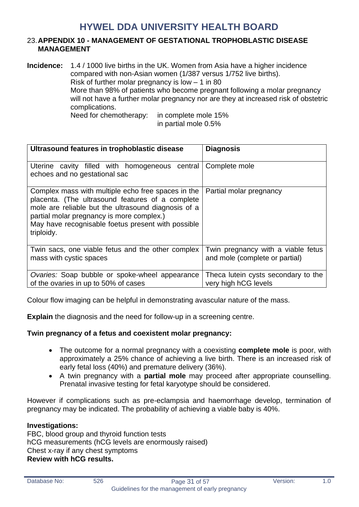#### <span id="page-30-0"></span>23.**APPENDIX 10 - MANAGEMENT OF GESTATIONAL TROPHOBLASTIC DISEASE MANAGEMENT**

**Incidence:** 1.4 / 1000 live births in the UK. Women from Asia have a higher incidence compared with non-Asian women (1/387 versus 1/752 live births). Risk of further molar pregnancy is low  $-1$  in 80 More than 98% of patients who become pregnant following a molar pregnancy will not have a further molar pregnancy nor are they at increased risk of obstetric complications. Need for chemotherapy: in complete mole 15% in partial mole 0.5%

**Ultrasound features in trophoblastic disease Diagnosis** Uterine cavity filled with homogeneous central echoes and no gestational sac Complete mole Complex mass with multiple echo free spaces in the placenta. (The ultrasound features of a complete mole are reliable but the ultrasound diagnosis of a partial molar pregnancy is more complex.) May have recognisable foetus present with possible triploidy. Partial molar pregnancy Twin sacs, one viable fetus and the other complex mass with cystic spaces Twin pregnancy with a viable fetus and mole (complete or partial) *Ovaries:* Soap bubble or spoke-wheel appearance of the ovaries in up to 50% of cases Theca lutein cysts secondary to the very high hCG levels

Colour flow imaging can be helpful in demonstrating avascular nature of the mass.

**Explain** the diagnosis and the need for follow-up in a screening centre.

#### **Twin pregnancy of a fetus and coexistent molar pregnancy:**

- The outcome for a normal pregnancy with a coexisting **complete mole** is poor, with approximately a 25% chance of achieving a live birth. There is an increased risk of early fetal loss (40%) and premature delivery (36%).
- A twin pregnancy with a **partial mole** may proceed after appropriate counselling. Prenatal invasive testing for fetal karyotype should be considered.

However if complications such as pre-eclampsia and haemorrhage develop, termination of pregnancy may be indicated. The probability of achieving a viable baby is 40%.

#### **Investigations:**

FBC, blood group and thyroid function tests hCG measurements (hCG levels are enormously raised) Chest x-ray if any chest symptoms **Review with hCG results.**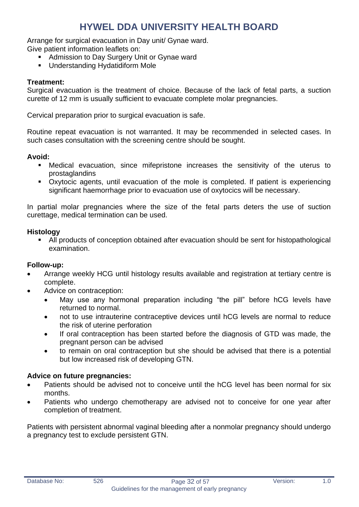Arrange for surgical evacuation in Day unit/ Gynae ward.

Give patient information leaflets on:

- Admission to Day Surgery Unit or Gynae ward
- Understanding Hydatidiform Mole

#### **Treatment:**

Surgical evacuation is the treatment of choice. Because of the lack of fetal parts, a suction curette of 12 mm is usually sufficient to evacuate complete molar pregnancies.

Cervical preparation prior to surgical evacuation is safe.

Routine repeat evacuation is not warranted. It may be recommended in selected cases. In such cases consultation with the screening centre should be sought.

#### **Avoid:**

- **EXE** Medical evacuation, since mifepristone increases the sensitivity of the uterus to prostaglandins
- Oxytocic agents, until evacuation of the mole is completed. If patient is experiencing significant haemorrhage prior to evacuation use of oxytocics will be necessary.

In partial molar pregnancies where the size of the fetal parts deters the use of suction curettage, medical termination can be used.

#### **Histology**

■ All products of conception obtained after evacuation should be sent for histopathological examination.

#### **Follow-up:**

- Arrange weekly HCG until histology results available and registration at tertiary centre is complete.
- Advice on contraception:
	- May use any hormonal preparation including "the pill" before hCG levels have returned to normal.
	- not to use intrauterine contraceptive devices until hCG levels are normal to reduce the risk of uterine perforation
	- If oral contraception has been started before the diagnosis of GTD was made, the pregnant person can be advised
	- to remain on oral contraception but she should be advised that there is a potential but low increased risk of developing GTN.

#### **Advice on future pregnancies:**

- Patients should be advised not to conceive until the hCG level has been normal for six months.
- Patients who undergo chemotherapy are advised not to conceive for one year after completion of treatment.

Patients with persistent abnormal vaginal bleeding after a nonmolar pregnancy should undergo a pregnancy test to exclude persistent GTN.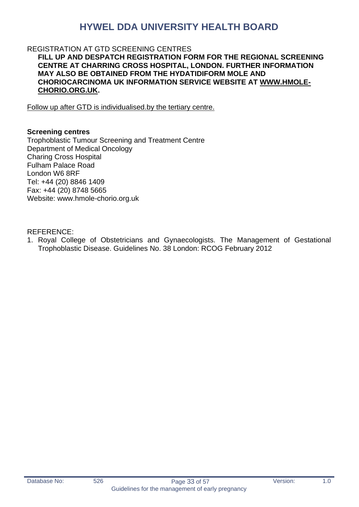#### REGISTRATION AT GTD SCREENING CENTRES

**FILL UP AND DESPATCH REGISTRATION FORM FOR THE REGIONAL SCREENING CENTRE AT CHARRING CROSS HOSPITAL, LONDON. FURTHER INFORMATION MAY ALSO BE OBTAINED FROM THE HYDATIDIFORM MOLE AND CHORIOCARCINOMA UK INFORMATION SERVICE WEBSITE AT [WWW.HMOLE-](http://www.hmole-chorio.org.uk/)[CHORIO.ORG.UK.](http://www.hmole-chorio.org.uk/)** 

Follow up after GTD is individualised.by the tertiary centre.

#### **Screening centres**

Trophoblastic Tumour Screening and Treatment Centre Department of Medical Oncology Charing Cross Hospital Fulham Palace Road London W6 8RF Tel: +44 (20) 8846 1409 Fax: +44 (20) 8748 5665 Website: www.hmole-chorio.org.uk

REFERENCE:

1. Royal College of Obstetricians and Gynaecologists. The Management of Gestational Trophoblastic Disease. Guidelines No. 38 London: RCOG February 2012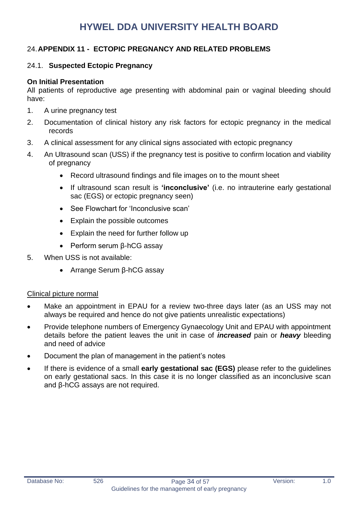#### <span id="page-33-0"></span>24.**APPENDIX 11 - ECTOPIC PREGNANCY AND RELATED PROBLEMS**

#### 24.1. **Suspected Ectopic Pregnancy**

#### **On Initial Presentation**

All patients of reproductive age presenting with abdominal pain or vaginal bleeding should have:

- 1. A urine pregnancy test
- 2. Documentation of clinical history any risk factors for ectopic pregnancy in the medical records
- 3. A clinical assessment for any clinical signs associated with ectopic pregnancy
- 4. An Ultrasound scan (USS) if the pregnancy test is positive to confirm location and viability of pregnancy
	- Record ultrasound findings and file images on to the mount sheet
	- If ultrasound scan result is **'inconclusive'** (i.e. no intrauterine early gestational sac (EGS) or ectopic pregnancy seen)
	- See Flowchart for 'Inconclusive scan'
	- Explain the possible outcomes
	- Explain the need for further follow up
	- Perform serum β-hCG assay
- 5. When USS is not available:
	- Arrange Serum β-hCG assay

#### Clinical picture normal

- Make an appointment in EPAU for a review two-three days later (as an USS may not always be required and hence do not give patients unrealistic expectations)
- Provide telephone numbers of Emergency Gynaecology Unit and EPAU with appointment details before the patient leaves the unit in case of *increased* pain or *heavy* bleeding and need of advice
- Document the plan of management in the patient's notes
- If there is evidence of a small **early gestational sac (EGS)** please refer to the guidelines on early gestational sacs. In this case it is no longer classified as an inconclusive scan and β-hCG assays are not required.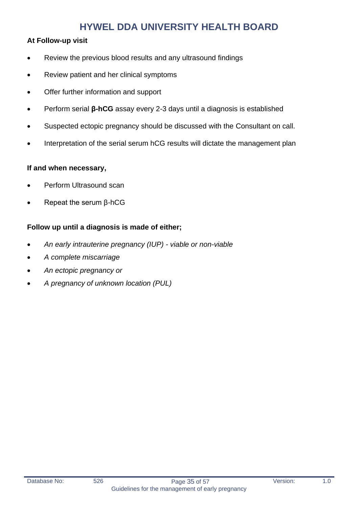#### **At Follow-up visit**

- Review the previous blood results and any ultrasound findings
- Review patient and her clinical symptoms
- Offer further information and support
- Perform serial **β-hCG** assay every 2-3 days until a diagnosis is established
- Suspected ectopic pregnancy should be discussed with the Consultant on call.
- Interpretation of the serial serum hCG results will dictate the management plan

#### **If and when necessary,**

- Perform Ultrasound scan
- Repeat the serum β-hCG

#### **Follow up until a diagnosis is made of either;**

- *An early intrauterine pregnancy (IUP) - viable or non-viable*
- *A complete miscarriage*
- *An ectopic pregnancy or*
- *A pregnancy of unknown location (PUL)*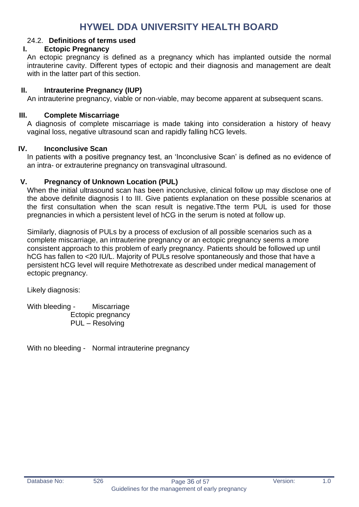#### 24.2. **Definitions of terms used**

#### **I. Ectopic Pregnancy**

An ectopic pregnancy is defined as a pregnancy which has implanted outside the normal intrauterine cavity. Different types of ectopic and their diagnosis and management are dealt with in the latter part of this section.

#### **II. Intrauterine Pregnancy (IUP)**

An intrauterine pregnancy, viable or non-viable, may become apparent at subsequent scans.

#### **III. Complete Miscarriage**

A diagnosis of complete miscarriage is made taking into consideration a history of heavy vaginal loss, negative ultrasound scan and rapidly falling hCG levels.

#### **IV. Inconclusive Scan**

In patients with a positive pregnancy test, an 'Inconclusive Scan' is defined as no evidence of an intra- or extrauterine pregnancy on transvaginal ultrasound.

#### **V. Pregnancy of Unknown Location (PUL)**

When the initial ultrasound scan has been inconclusive, clinical follow up may disclose one of the above definite diagnosis I to III. Give patients explanation on these possible scenarios at the first consultation when the scan result is negative.Tthe term PUL is used for those pregnancies in which a persistent level of hCG in the serum is noted at follow up.

Similarly, diagnosis of PULs by a process of exclusion of all possible scenarios such as a complete miscarriage, an intrauterine pregnancy or an ectopic pregnancy seems a more consistent approach to this problem of early pregnancy. Patients should be followed up until hCG has fallen to <20 IU/L. Majority of PULs resolve spontaneously and those that have a persistent hCG level will require Methotrexate as described under medical management of ectopic pregnancy.

Likely diagnosis:

With bleeding - Miscarriage Ectopic pregnancy PUL – Resolving

With no bleeding - Normal intrauterine pregnancy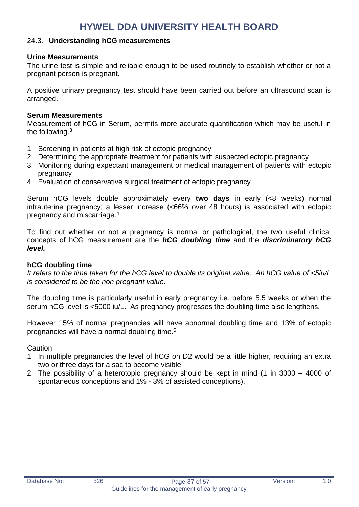#### 24.3. **Understanding hCG measurements**

#### **Urine Measurements**

The urine test is simple and reliable enough to be used routinely to establish whether or not a pregnant person is pregnant.

A positive urinary pregnancy test should have been carried out before an ultrasound scan is arranged.

#### **Serum Measurements**

Measurement of hCG in Serum, permits more accurate quantification which may be useful in the following.<sup>3</sup>

- 1. Screening in patients at high risk of ectopic pregnancy
- 2. Determining the appropriate treatment for patients with suspected ectopic pregnancy
- 3. Monitoring during expectant management or medical management of patients with ectopic pregnancy
- 4. Evaluation of conservative surgical treatment of ectopic pregnancy

Serum hCG levels double approximately every **two days** in early (<8 weeks) normal intrauterine pregnancy; a lesser increase (<66% over 48 hours) is associated with ectopic pregnancy and miscarriage.<sup>4</sup>

To find out whether or not a pregnancy is normal or pathological, the two useful clinical concepts of hCG measurement are the *hCG doubling time* and the *discriminatory hCG level.* 

#### **hCG doubling time**

*It refers to the time taken for the hCG level to double its original value. An hCG value of <5iu/L is considered to be the non pregnant value.*

The doubling time is particularly useful in early pregnancy i.e. before 5.5 weeks or when the serum hCG level is <5000 iu/L. As pregnancy progresses the doubling time also lengthens.

However 15% of normal pregnancies will have abnormal doubling time and 13% of ectopic pregnancies will have a normal doubling time.<sup>5</sup>

**Caution** 

- 1. In multiple pregnancies the level of hCG on D2 would be a little higher, requiring an extra two or three days for a sac to become visible.
- 2. The possibility of a heterotopic pregnancy should be kept in mind (1 in 3000 4000 of spontaneous conceptions and 1% - 3% of assisted conceptions).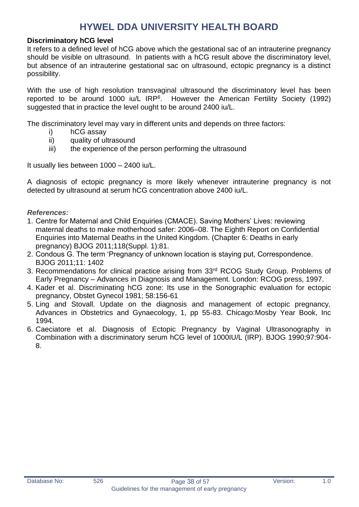#### **Discriminatory hCG level**

It refers to a defined level of hCG above which the gestational sac of an intrauterine pregnancy should be visible on ultrasound. In patients with a hCG result above the discriminatory level, but absence of an intrauterine gestational sac on ultrasound, ectopic pregnancy is a distinct possibility.

With the use of high resolution transvaginal ultrasound the discriminatory level has been reported to be around 1000 iu/L  $IRP<sup>6</sup>$ . However the American Fertility Society (1992) suggested that in practice the level ought to be around 2400 iu/L.

The discriminatory level may vary in different units and depends on three factors:

- i) hCG assay
- ii) quality of ultrasound
- iii) the experience of the person performing the ultrasound

It usually lies between 1000 – 2400 iu/L.

A diagnosis of ectopic pregnancy is more likely whenever intrauterine pregnancy is not detected by ultrasound at serum hCG concentration above 2400 iu/L.

#### *References:*

- 1. Centre for Maternal and Child Enquiries (CMACE). Saving Mothers' Lives: reviewing maternal deaths to make motherhood safer: 2006–08. The Eighth Report on Confidential Enquiries into Maternal Deaths in the United Kingdom. (Chapter 6: Deaths in early pregnancy) BJOG 2011;118(Suppl. 1):81.
- 2. Condous G. The term 'Pregnancy of unknown location is staying put, Correspondence. BJOG 2011;11: 1402
- 3. Recommendations for clinical practice arising from 33rd RCOG Study Group. Problems of Early Pregnancy – Advances in Diagnosis and Management. London: RCOG press, 1997.
- 4. Kader et al. Discriminating hCG zone: Its use in the Sonographic evaluation for ectopic pregnancy, Obstet Gynecol 1981; 58:156-61
- 5. Ling and Stovall. Update on the diagnosis and management of ectopic pregnancy, Advances in Obstetrics and Gynaecology, 1, pp 55-83. Chicago:Mosby Year Book, Inc 1994.
- 6. Caeciatore et al. Diagnosis of Ectopic Pregnancy by Vaginal Ultrasonography in Combination with a discriminatory serum hCG level of 1000IU/L (IRP). BJOG 1990;97:904- 8.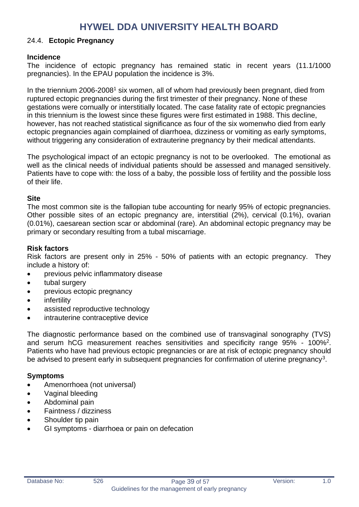#### 24.4. **Ectopic Pregnancy**

#### **Incidence**

The incidence of ectopic pregnancy has remained static in recent years (11.1/1000 pregnancies). In the EPAU population the incidence is 3%.

In the triennium 2006-2008<sup>1</sup> six women, all of whom had previously been pregnant, died from ruptured ectopic pregnancies during the first trimester of their pregnancy. None of these gestations were cornually or interstitially located. The case fatality rate of ectopic pregnancies in this triennium is the lowest since these figures were first estimated in 1988. This decline, however, has not reached statistical significance as four of the six womenwho died from early ectopic pregnancies again complained of diarrhoea, dizziness or vomiting as early symptoms, without triggering any consideration of extrauterine pregnancy by their medical attendants.

The psychological impact of an ectopic pregnancy is not to be overlooked. The emotional as well as the clinical needs of individual patients should be assessed and managed sensitively. Patients have to cope with: the loss of a baby, the possible loss of fertility and the possible loss of their life.

#### **Site**

The most common site is the fallopian tube accounting for nearly 95% of ectopic pregnancies. Other possible sites of an ectopic pregnancy are, interstitial (2%), cervical (0.1%), ovarian (0.01%), caesarean section scar or abdominal (rare). An abdominal ectopic pregnancy may be primary or secondary resulting from a tubal miscarriage.

#### **Risk factors**

Risk factors are present only in 25% - 50% of patients with an ectopic pregnancy. They include a history of:

- previous pelvic inflammatory disease
- tubal surgery
- previous ectopic pregnancy
- infertility
- assisted reproductive technology
- intrauterine contraceptive device

The diagnostic performance based on the combined use of transvaginal sonography (TVS) and serum hCG measurement reaches sensitivities and specificity range 95% - 100%<sup>2</sup> . Patients who have had previous ectopic pregnancies or are at risk of ectopic pregnancy should be advised to present early in subsequent pregnancies for confirmation of uterine pregnancy<sup>3</sup>.

#### **Symptoms**

- Amenorrhoea (not universal)
- Vaginal bleeding
- Abdominal pain
- Faintness / dizziness
- Shoulder tip pain
- GI symptoms diarrhoea or pain on defecation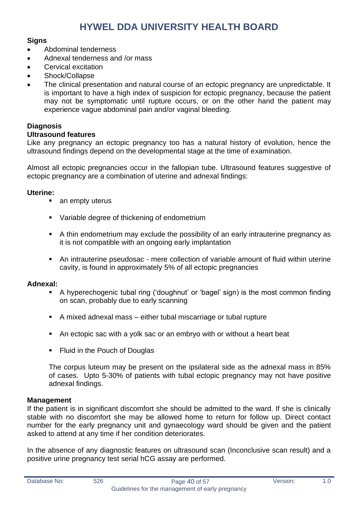#### **Signs**

- Abdominal tenderness
- Adnexal tenderness and /or mass
- Cervical excitation
- Shock/Collapse
- The clinical presentation and natural course of an ectopic pregnancy are unpredictable. It is important to have a high index of suspicion for ectopic pregnancy, because the patient may not be symptomatic until rupture occurs, or on the other hand the patient may experience vague abdominal pain and/or vaginal bleeding.

#### **Diagnosis**

#### **Ultrasound features**

Like any pregnancy an ectopic pregnancy too has a natural history of evolution, hence the ultrasound findings depend on the developmental stage at the time of examination.

Almost all ectopic pregnancies occur in the fallopian tube. Ultrasound features suggestive of ectopic pregnancy are a combination of uterine and adnexal findings:

#### **Uterine:**

- an empty uterus
- Variable degree of thickening of endometrium
- A thin endometrium may exclude the possibility of an early intrauterine pregnancy as it is not compatible with an ongoing early implantation
- An intrauterine pseudosac mere collection of variable amount of fluid within uterine cavity, is found in approximately 5% of all ectopic pregnancies

#### **Adnexal:**

- A hyperechogenic tubal ring ('doughnut' or 'bagel' sign) is the most common finding on scan, probably due to early scanning
- A mixed adnexal mass either tubal miscarriage or tubal rupture
- An ectopic sac with a yolk sac or an embryo with or without a heart beat
- Fluid in the Pouch of Douglas

The corpus luteum may be present on the ipsilateral side as the adnexal mass in 85% of cases. Upto 5-30% of patients with tubal ectopic pregnancy may not have positive adnexal findings.

#### **Management**

If the patient is in significant discomfort she should be admitted to the ward. If she is clinically stable with no discomfort she may be allowed home to return for follow up. Direct contact number for the early pregnancy unit and gynaecology ward should be given and the patient asked to attend at any time if her condition deteriorates.

In the absence of any diagnostic features on ultrasound scan (Inconclusive scan result) and a positive urine pregnancy test serial hCG assay are performed.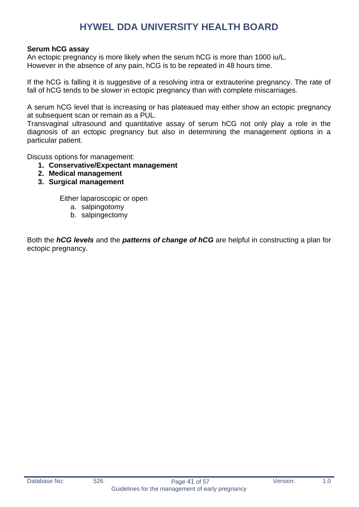#### **Serum hCG assay**

An ectopic pregnancy is more likely when the serum hCG is more than 1000 iu/L. However in the absence of any pain, hCG is to be repeated in 48 hours time.

If the hCG is falling it is suggestive of a resolving intra or extrauterine pregnancy. The rate of fall of hCG tends to be slower in ectopic pregnancy than with complete miscarriages.

A serum hCG level that is increasing or has plateaued may either show an ectopic pregnancy at subsequent scan or remain as a PUL.

Transvaginal ultrasound and quantitative assay of serum hCG not only play a role in the diagnosis of an ectopic pregnancy but also in determining the management options in a particular patient.

Discuss options for management:

- **1. Conservative/Expectant management**
- **2. Medical management**
- **3. Surgical management**

Either laparoscopic or open

- a. salpingotomy
- b. salpingectomy

Both the *hCG levels* and the *patterns of change of hCG* are helpful in constructing a plan for ectopic pregnancy.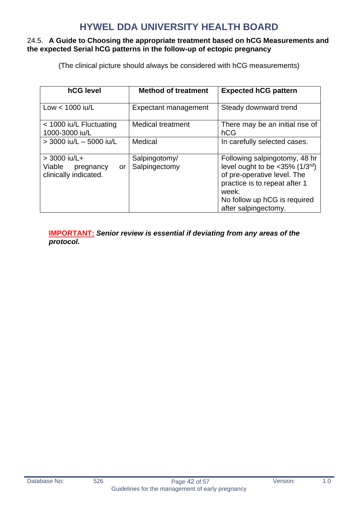#### 24.5. **A Guide to Choosing the appropriate treatment based on hCG Measurements and the expected Serial hCG patterns in the follow-up of ectopic pregnancy**

(The clinical picture should always be considered with hCG measurements)

| hCG level                                                            | <b>Method of treatment</b>     | <b>Expected hCG pattern</b>                                                                                                                                                                                      |
|----------------------------------------------------------------------|--------------------------------|------------------------------------------------------------------------------------------------------------------------------------------------------------------------------------------------------------------|
| Low $<$ 1000 iu/L                                                    | Expectant management           | Steady downward trend                                                                                                                                                                                            |
| < 1000 iu/L Fluctuating<br>1000-3000 iu/L                            | <b>Medical treatment</b>       | There may be an initial rise of<br>hCG                                                                                                                                                                           |
| $>$ 3000 iu/L $-$ 5000 iu/L                                          | Medical                        | In carefully selected cases.                                                                                                                                                                                     |
| $>$ 3000 iu/L+<br>Viable<br>pregnancy<br>or<br>clinically indicated. | Salpingotomy/<br>Salpingectomy | Following salpingotomy, 48 hr<br>level ought to be $<$ 35% (1/3 <sup>rd</sup> )<br>of pre-operative level. The<br>practice is to repeat after 1<br>week.<br>No follow up hCG is required<br>after salpingectomy. |

**IMPORTANT:** *Senior review is essential if deviating from any areas of the protocol.*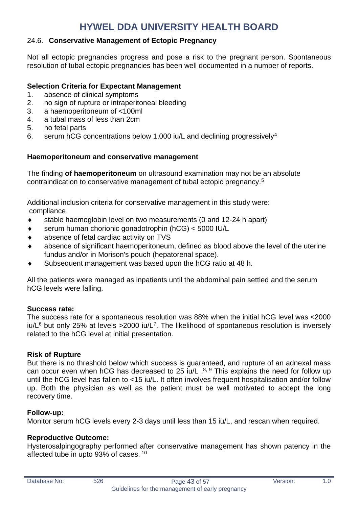#### 24.6. **Conservative Management of Ectopic Pregnancy**

Not all ectopic pregnancies progress and pose a risk to the pregnant person. Spontaneous resolution of tubal ectopic pregnancies has been well documented in a number of reports.

#### **Selection Criteria for Expectant Management**

- 1. absence of clinical symptoms
- 2. no sign of rupture or intraperitoneal bleeding
- 3. a haemoperitoneum of <100ml
- 4. a tubal mass of less than 2cm
- 5. no fetal parts
- 6. serum hCG concentrations below 1,000 iu/L and declining progressively<sup>4</sup>

#### **Haemoperitoneum and conservative management**

The finding **of haemoperitoneum** on ultrasound examination may not be an absolute contraindication to conservative management of tubal ectopic pregnancy.<sup>5</sup>

Additional inclusion criteria for conservative management in this study were: compliance

- stable haemoglobin level on two measurements (0 and 12-24 h apart)
- serum human chorionic gonadotrophin (hCG) < 5000 IU/L
- absence of fetal cardiac activity on TVS
- absence of significant haemoperitoneum, defined as blood above the level of the uterine fundus and/or in Morison's pouch (hepatorenal space).
- Subsequent management was based upon the hCG ratio at 48 h.

All the patients were managed as inpatients until the abdominal pain settled and the serum hCG levels were falling.

#### **Success rate:**

The success rate for a spontaneous resolution was 88% when the initial hCG level was <2000 iu/ $L^6$  but only 25% at levels >2000 iu/ $L^7$ . The likelihood of spontaneous resolution is inversely related to the hCG level at initial presentation.

#### **Risk of Rupture**

But there is no threshold below which success is guaranteed, and rupture of an adnexal mass can occur even when hCG has decreased to 25 iu/L  $.8, 9$  This explains the need for follow up until the hCG level has fallen to <15 iu/L. It often involves frequent hospitalisation and/or follow up. Both the physician as well as the patient must be well motivated to accept the long recovery time.

#### **Follow-up:**

Monitor serum hCG levels every 2-3 days until less than 15 iu/L, and rescan when required.

#### **Reproductive Outcome:**

Hysterosalpingography performed after conservative management has shown patency in the affected tube in upto 93% of cases. <sup>10</sup>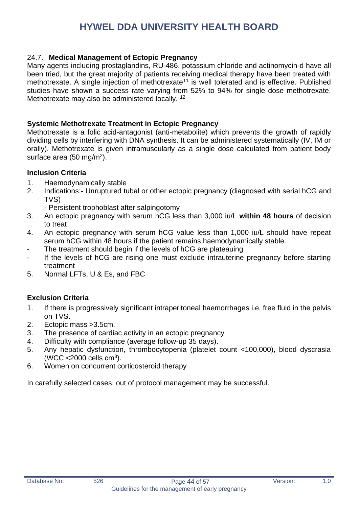#### 24.7. **Medical Management of Ectopic Pregnancy**

Many agents including prostaglandins, RU-486, potassium chloride and actinomycin-d have all been tried, but the great majority of patients receiving medical therapy have been treated with methotrexate. A single injection of methotrexate<sup>11</sup> is well tolerated and is effective. Published studies have shown a success rate varying from 52% to 94% for single dose methotrexate. Methotrexate may also be administered locally. <sup>12</sup>

#### **Systemic Methotrexate Treatment in Ectopic Pregnancy**

Methotrexate is a folic acid-antagonist (anti-metabolite) which prevents the growth of rapidly dividing cells by interfering with DNA synthesis. It can be administered systematically (IV, IM or orally). Methotrexate is given intramuscularly as a single dose calculated from patient body surface area (50 mg/m<sup>2</sup>).

#### **Inclusion Criteria**

- 1. Haemodynamically stable
- 2. Indications:- Unruptured tubal or other ectopic pregnancy (diagnosed with serial hCG and TVS)
	- Persistent trophoblast after salpingotomy
- 3. An ectopic pregnancy with serum hCG less than 3,000 iu/L **within 48 hours** of decision to treat
- 4. An ectopic pregnancy with serum hCG value less than 1,000 iu/L should have repeat serum hCG within 48 hours if the patient remains haemodynamically stable.
- The treatment should begin if the levels of hCG are plateauing
- If the levels of hCG are rising one must exclude intrauterine pregnancy before starting treatment
- 5. Normal LFTs, U & Es, and FBC

#### **Exclusion Criteria**

- 1. If there is progressively significant intraperitoneal haemorrhages i.e. free fluid in the pelvis on TVS.
- 2. Ectopic mass >3.5cm.
- 3. The presence of cardiac activity in an ectopic pregnancy
- 4. Difficulty with compliance (average follow-up 35 days).
- 5. Any hepatic dysfunction, thrombocytopenia (platelet count <100,000), blood dyscrasia (WCC < $2000$  cells cm<sup>3</sup>).
- 6. Women on concurrent corticosteroid therapy

In carefully selected cases, out of protocol management may be successful.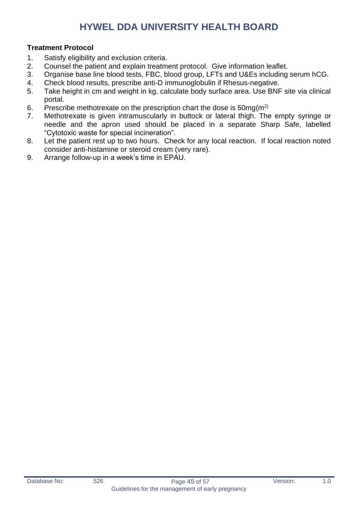#### **Treatment Protocol**

- 1. Satisfy eligibility and exclusion criteria.
- 2. Counsel the patient and explain treatment protocol. Give information leaflet.
- 3. Organise base line blood tests, FBC, blood group, LFTs and U&Es including serum hCG.
- 4. Check blood results, prescribe anti-D immunoglobulin if Rhesus-negative.
- 5. Take height in cm and weight in kg, calculate body surface area. Use BNF site via clinical portal.
- 6. Prescribe methotrexate on the prescription chart the dose is  $50mg(m^2)$
- 7. Methotrexate is given intramuscularly in buttock or lateral thigh. The empty syringe or needle and the apron used should be placed in a separate Sharp Safe, labelled "Cytotoxic waste for special incineration".
- 8. Let the patient rest up to two hours. Check for any local reaction. If local reaction noted consider anti-histamine or steroid cream (very rare).
- 9. Arrange follow-up in a week's time in EPAU.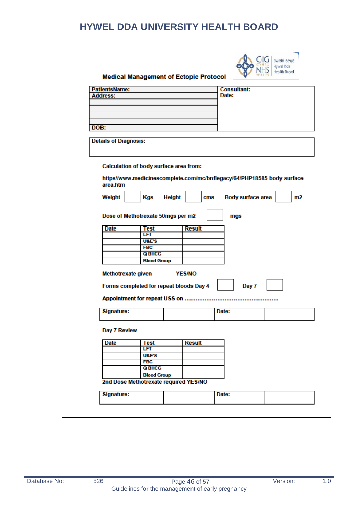

#### **Medical Management of Ectopic Protocol**

| <b>PatientsName:</b>         |                                         | <b>Consultant:</b>                                                      |
|------------------------------|-----------------------------------------|-------------------------------------------------------------------------|
| <b>Address:</b>              |                                         | Date:                                                                   |
|                              |                                         |                                                                         |
|                              |                                         |                                                                         |
|                              |                                         |                                                                         |
| DOB:                         |                                         |                                                                         |
|                              |                                         |                                                                         |
| <b>Details of Diagnosis:</b> |                                         |                                                                         |
|                              | Calculation of body surface area from:  |                                                                         |
| area.htm                     |                                         | https//www.medicinescomplete.com/mc/bnflegacy/64/PHP18585-body-surface- |
| Weight                       | <b>Height</b><br>Kgs                    | <b>Body surface area</b><br>cms<br>m <sub>2</sub>                       |
|                              | Dose of Methotrexate 50mgs per m2       | mgs                                                                     |
| <b>Date</b>                  | <b>Test</b>                             | <b>Result</b>                                                           |
|                              | LFT                                     |                                                                         |
|                              | <b>U&amp;E'S</b>                        |                                                                         |
|                              | <b>FBC</b>                              |                                                                         |
|                              | <b>Q BHCG</b>                           |                                                                         |
|                              | <b>Blood Group</b>                      |                                                                         |
|                              |                                         |                                                                         |
| <b>Methotrexate given</b>    |                                         | <b>YES/NO</b>                                                           |
|                              | Forms completed for repeat bloods Day 4 | Day 7                                                                   |
|                              | Appointment for repeat USS on           |                                                                         |
| Signature:                   |                                         | Date:                                                                   |
| Day 7 Review                 |                                         |                                                                         |
| Date                         | Test                                    | <b>Result</b>                                                           |
|                              | LFT                                     |                                                                         |
|                              | <b>U&amp;E'S</b>                        |                                                                         |
|                              | <b>FBC</b>                              |                                                                         |
|                              | <b>Q BHCG</b>                           |                                                                         |
|                              | <b>Blood Group</b>                      |                                                                         |
|                              | 2nd Dose Methotrexate required YES/NO   |                                                                         |

Signature: Date: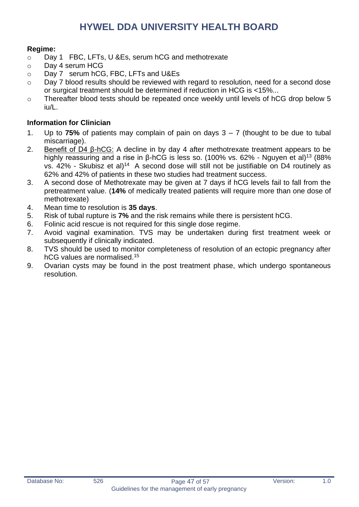#### **Regime:**

- o Day 1 FBC, LFTs, U &Es, serum hCG and methotrexate
- o Day 4 serum HCG
- o Day 7 serum hCG, FBC, LFTs and U&Es
- o Day 7 blood results should be reviewed with regard to resolution, need for a second dose or surgical treatment should be determined if reduction in HCG is <15%...
- o Thereafter blood tests should be repeated once weekly until levels of hCG drop below 5 iu/L.

#### **Information for Clinician**

- 1. Up to **75%** of patients may complain of pain on days 3 7 (thought to be due to tubal miscarriage).
- 2. Benefit of D4 β-hCG: A decline in by day 4 after methotrexate treatment appears to be highly reassuring and a rise in β-hCG is less so. (100% vs. 62% - Nguyen et al)<sup>13</sup> (88% vs.  $42\%$  - Skubisz et al)<sup>14</sup> A second dose will still not be justifiable on D4 routinely as 62% and 42% of patients in these two studies had treatment success.
- 3. A second dose of Methotrexate may be given at 7 days if hCG levels fail to fall from the pretreatment value. (**14%** of medically treated patients will require more than one dose of methotrexate)
- 4. Mean time to resolution is **35 days**.
- 5. Risk of tubal rupture is **7%** and the risk remains while there is persistent hCG.
- 6. Folinic acid rescue is not required for this single dose regime.
- 7. Avoid vaginal examination. TVS may be undertaken during first treatment week or subsequently if clinically indicated.
- 8. TVS should be used to monitor completeness of resolution of an ectopic pregnancy after hCG values are normalised.<sup>15</sup>
- 9. Ovarian cysts may be found in the post treatment phase, which undergo spontaneous resolution.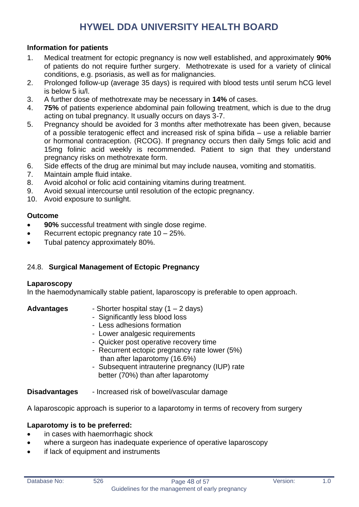#### **Information for patients**

- 1. Medical treatment for ectopic pregnancy is now well established, and approximately **90%** of patients do not require further surgery. Methotrexate is used for a variety of clinical conditions, e.g. psoriasis, as well as for malignancies.
- 2. Prolonged follow-up (average 35 days) is required with blood tests until serum hCG level is below 5 iu/l.
- 3. A further dose of methotrexate may be necessary in **14%** of cases.
- 4. **75%** of patients experience abdominal pain following treatment, which is due to the drug acting on tubal pregnancy. It usually occurs on days 3-7.
- 5. Pregnancy should be avoided for 3 months after methotrexate has been given, because of a possible teratogenic effect and increased risk of spina bifida – use a reliable barrier or hormonal contraception. (RCOG). If pregnancy occurs then daily 5mgs folic acid and 15mg folinic acid weekly is recommended. Patient to sign that they understand pregnancy risks on methotrexate form.
- 6. Side effects of the drug are minimal but may include nausea, vomiting and stomatitis.
- 7. Maintain ample fluid intake.
- 8. Avoid alcohol or folic acid containing vitamins during treatment.
- 9. Avoid sexual intercourse until resolution of the ectopic pregnancy.
- 10. Avoid exposure to sunlight.

#### **Outcome**

- **90%** successful treatment with single dose regime.
- Recurrent ectopic pregnancy rate  $10 25$ %.
- Tubal patency approximately 80%.

#### 24.8. **Surgical Management of Ectopic Pregnancy**

#### **Laparoscopy**

In the haemodynamically stable patient, laparoscopy is preferable to open approach.

- **Advantages** Shorter hospital stay (1 2 days)
	- Significantly less blood loss
	- Less adhesions formation
	- Lower analgesic requirements
	- Quicker post operative recovery time
	- Recurrent ectopic pregnancy rate lower (5%) than after laparotomy (16.6%)
	- Subsequent intrauterine pregnancy (IUP) rate better (70%) than after laparotomy

**Disadvantages** - Increased risk of bowel/vascular damage

A laparoscopic approach is superior to a laparotomy in terms of recovery from surgery

#### **Laparotomy is to be preferred:**

- in cases with haemorrhagic shock
- where a surgeon has inadequate experience of operative laparoscopy
- if lack of equipment and instruments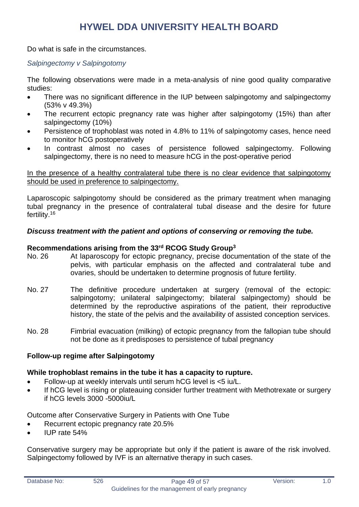Do what is safe in the circumstances.

#### *Salpingectomy v Salpingotomy*

The following observations were made in a meta-analysis of nine good quality comparative studies:

- There was no significant difference in the IUP between salpingotomy and salpingectomy (53% v 49.3%)
- The recurrent ectopic pregnancy rate was higher after salpingotomy (15%) than after salpingectomy (10%)
- Persistence of trophoblast was noted in 4.8% to 11% of salpingotomy cases, hence need to monitor hCG postoperatively
- In contrast almost no cases of persistence followed salpingectomy. Following salpingectomy, there is no need to measure hCG in the post-operative period

In the presence of a healthy contralateral tube there is no clear evidence that salpingotomy should be used in preference to salpingectomy.

Laparoscopic salpingotomy should be considered as the primary treatment when managing tubal pregnancy in the presence of contralateral tubal disease and the desire for future fertility.<sup>16</sup>

#### *Discuss treatment with the patient and options of conserving or removing the tube.*

#### **Recommendations arising from the 33rd RCOG Study Group<sup>3</sup>**

- No. 26 At laparoscopy for ectopic pregnancy, precise documentation of the state of the pelvis, with particular emphasis on the affected and contralateral tube and ovaries, should be undertaken to determine prognosis of future fertility.
- No. 27 The definitive procedure undertaken at surgery (removal of the ectopic: salpingotomy; unilateral salpingectomy; bilateral salpingectomy) should be determined by the reproductive aspirations of the patient, their reproductive history, the state of the pelvis and the availability of assisted conception services.
- No. 28 Fimbrial evacuation (milking) of ectopic pregnancy from the fallopian tube should not be done as it predisposes to persistence of tubal pregnancy

#### **Follow-up regime after Salpingotomy**

#### **While trophoblast remains in the tube it has a capacity to rupture.**

- Follow-up at weekly intervals until serum hCG level is <5 iu/L.
- If hCG level is rising or plateauing consider further treatment with Methotrexate or surgery if hCG levels 3000 -5000iu/L

Outcome after Conservative Surgery in Patients with One Tube

- Recurrent ectopic pregnancy rate 20.5%
- IUP rate 54%

Conservative surgery may be appropriate but only if the patient is aware of the risk involved. Salpingectomy followed by IVF is an alternative therapy in such cases.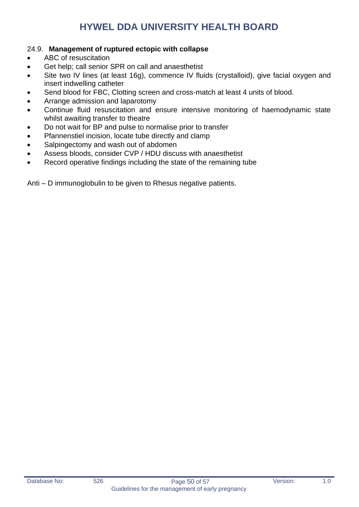#### 24.9. **Management of ruptured ectopic with collapse**

- ABC of resuscitation
- Get help; call senior SPR on call and anaesthetist
- Site two IV lines (at least 16g), commence IV fluids (crystalloid), give facial oxygen and insert indwelling catheter
- Send blood for FBC, Clotting screen and cross-match at least 4 units of blood.
- Arrange admission and laparotomy
- Continue fluid resuscitation and ensure intensive monitoring of haemodynamic state whilst awaiting transfer to theatre
- Do not wait for BP and pulse to normalise prior to transfer
- Pfannenstiel incision, locate tube directly and clamp
- Salpingectomy and wash out of abdomen
- Assess bloods, consider CVP / HDU discuss with anaesthetist
- Record operative findings including the state of the remaining tube

Anti – D immunoglobulin to be given to Rhesus negative patients.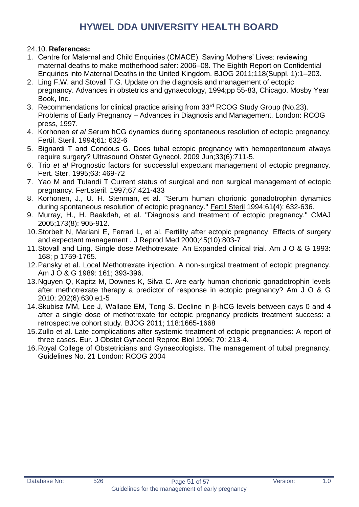#### 24.10. **References:**

- 1. Centre for Maternal and Child Enquiries (CMACE). Saving Mothers' Lives: reviewing maternal deaths to make motherhood safer: 2006–08. The Eighth Report on Confidential Enquiries into Maternal Deaths in the United Kingdom. BJOG 2011;118(Suppl. 1):1–203.
- 2. Ling F.W. and Stovall T.G. Update on the diagnosis and management of ectopic pregnancy. Advances in obstetrics and gynaecology, 1994;pp 55-83, Chicago. Mosby Year Book, Inc.
- 3. Recommendations for clinical practice arising from 33rd RCOG Study Group (No.23). Problems of Early Pregnancy – Advances in Diagnosis and Management. London: RCOG press, 1997.
- 4. Korhonen *et al* Serum hCG dynamics during spontaneous resolution of ectopic pregnancy, Fertil, Steril. 1994;61: 632-6
- 5. [Bignardi T](http://www.ncbi.nlm.nih.gov/pubmed?term=%22Bignardi%20T%22%5BAuthor%5D) and [Condous G.](http://www.ncbi.nlm.nih.gov/pubmed?term=%22Condous%20G%22%5BAuthor%5D) Does tubal ectopic pregnancy with hemoperitoneum always require surgery? Ultrasound [Obstet Gynecol.](http://www.ncbi.nlm.nih.gov/pubmed/19444867) 2009 Jun;33(6):711-5.
- 6. Trio *et al* Prognostic factors for successful expectant management of ectopic pregnancy. Fert. Ster. 1995;63: 469-72
- 7. Yao M and Tulandi T Current status of surgical and non surgical management of ectopic pregnancy. Fert.steril. 1997;67:421-433
- 8. Korhonen, J., U. H. Stenman, et al. "Serum human chorionic gonadotrophin dynamics during spontaneous resolution of ectopic pregnancy." Fertil Steril 1994;61**(**4): 632-636.
- 9. Murray, H., H. Baakdah, et al. "Diagnosis and treatment of ectopic pregnancy." CMAJ 2005;173(8): 905-912.
- 10.Storbelt N, Mariani E, Ferrari L, et al. Fertility after ectopic pregnancy. Effects of surgery and expectant management . J Reprod Med 2000;45(10):803-7
- 11.Stovall and Ling. Single dose Methotrexate: An Expanded clinical trial. Am J O & G 1993: 168; p 1759-1765.
- 12.Pansky et al. Local Methotrexate injection. A non-surgical treatment of ectopic pregnancy. Am J O & G 1989: 161; 393-396.
- 13.Nguyen Q, Kapitz M, Downes K, Silva C. Are early human chorionic gonadotrophin levels after methotrexate therapy a predictor of response in ectopic pregnancy? Am J O & G 2010; 202(6):630.e1-5
- 14.Skubisz MM, Lee J, Wallace EM, Tong S. Decline in β-hCG levels between days 0 and 4 after a single dose of methotrexate for ectopic pregnancy predicts treatment success: a retrospective cohort study. BJOG 2011; 118:1665-1668
- 15.Zullo et al. Late complications after systemic treatment of ectopic pregnancies: A report of three cases. Eur. J Obstet Gynaecol Reprod Biol 1996; 70: 213-4.
- 16.Royal College of Obstetricians and Gynaecologists. The management of tubal pregnancy. Guidelines No. 21 London: RCOG 2004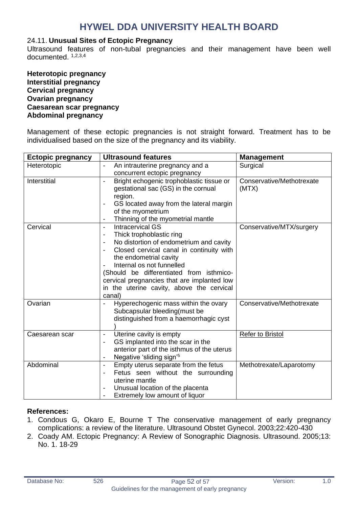#### 24.11. **Unusual Sites of Ectopic Pregnancy**

Ultrasound features of non-tubal pregnancies and their management have been well documented. 1,2,3,4

**Heterotopic pregnancy Interstitial pregnancy Cervical pregnancy Ovarian pregnancy Caesarean scar pregnancy Abdominal pregnancy**

Management of these ectopic pregnancies is not straight forward. Treatment has to be individualised based on the size of the pregnancy and its viability.

| <b>Ectopic pregnancy</b> | <b>Ultrasound features</b>                                               | <b>Management</b>         |
|--------------------------|--------------------------------------------------------------------------|---------------------------|
| Heterotopic              | An intrauterine pregnancy and a                                          | Surgical                  |
|                          | concurrent ectopic pregnancy                                             |                           |
| Interstitial             | Bright echogenic trophoblastic tissue or<br>$\overline{\phantom{0}}$     | Conservative/Methotrexate |
|                          | gestational sac (GS) in the cornual                                      | (MTX)                     |
|                          | region.                                                                  |                           |
|                          | GS located away from the lateral margin<br>$\qquad \qquad \blacksquare$  |                           |
|                          | of the myometrium                                                        |                           |
|                          | Thinning of the myometrial mantle                                        |                           |
| Cervical                 | <b>Intracervical GS</b><br>$\overline{\phantom{a}}$                      | Conservative/MTX/surgery  |
|                          | Thick trophoblastic ring<br>$\overline{\phantom{a}}$                     |                           |
|                          | No distortion of endometrium and cavity<br>$\overline{\phantom{a}}$      |                           |
|                          | Closed cervical canal in continuity with<br>$\qquad \qquad \blacksquare$ |                           |
|                          | the endometrial cavity                                                   |                           |
|                          | Internal os not funnelled                                                |                           |
|                          | (Should be differentiated from isthmico-                                 |                           |
|                          | cervical pregnancies that are implanted low                              |                           |
|                          | in the uterine cavity, above the cervical                                |                           |
|                          | canal)                                                                   |                           |
| Ovarian                  | Hyperechogenic mass within the ovary                                     | Conservative/Methotrexate |
|                          | Subcapsular bleeding(must be                                             |                           |
|                          | distinguished from a haemorrhagic cyst                                   |                           |
|                          |                                                                          |                           |
| Caesarean scar           | Uterine cavity is empty<br>$\qquad \qquad \blacksquare$                  | <b>Refer to Bristol</b>   |
|                          | GS implanted into the scar in the<br>Ĭ.                                  |                           |
|                          | anterior part of the isthmus of the uterus                               |                           |
|                          | Negative 'sliding sign' <sup>5</sup>                                     |                           |
| Abdominal                | Empty uterus separate from the fetus<br>$\overline{\phantom{a}}$         | Methotrexate/Laparotomy   |
|                          | Fetus seen without the surrounding<br>$\qquad \qquad \blacksquare$       |                           |
|                          | uterine mantle                                                           |                           |
|                          | Unusual location of the placenta<br>۰                                    |                           |
|                          | Extremely low amount of liquor                                           |                           |

#### **References:**

- 1. Condous G, Okaro E, Bourne T The conservative management of early pregnancy complications: a review of the literature. Ultrasound Obstet Gynecol. 2003;22:420-430
- 2. Coady AM. Ectopic Pregnancy: A Review of Sonographic Diagnosis. Ultrasound. 2005;13: No. 1. 18-29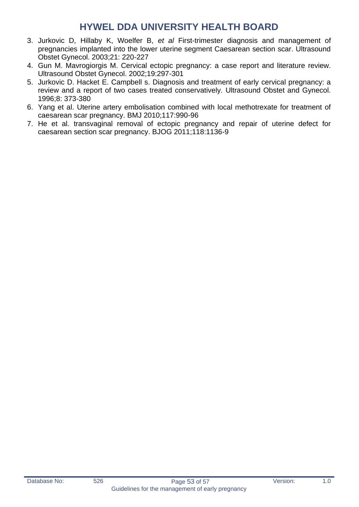- 3. Jurkovic D, Hillaby K, Woelfer B, *et al* First-trimester diagnosis and management of pregnancies implanted into the lower uterine segment Caesarean section scar. Ultrasound Obstet Gynecol. 2003;21: 220-227
- 4. Gun M. Mavrogiorgis M. Cervical ectopic pregnancy: a case report and literature review. Ultrasound Obstet Gynecol. 2002;19:297-301
- 5. Jurkovic D. Hacket E. Campbell s. Diagnosis and treatment of early cervical pregnancy: a review and a report of two cases treated conservatively. Ultrasound Obstet and Gynecol. 1996;8: 373-380
- 6. Yang et al. Uterine artery embolisation combined with local methotrexate for treatment of caesarean scar pregnancy. BMJ 2010;117:990-96
- 7. He et al. transvaginal removal of ectopic pregnancy and repair of uterine defect for caesarean section scar pregnancy. BJOG 2011;118:1136-9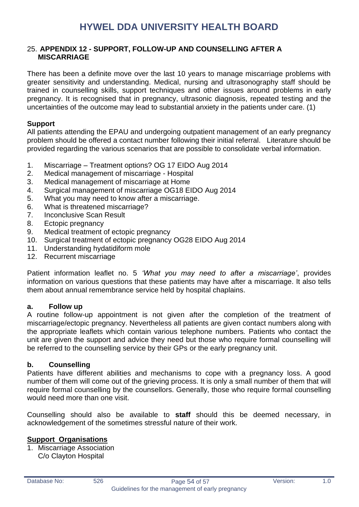#### <span id="page-53-0"></span>25. **APPENDIX 12 - SUPPORT, FOLLOW-UP AND COUNSELLING AFTER A MISCARRIAGE**

There has been a definite move over the last 10 years to manage miscarriage problems with greater sensitivity and understanding. Medical, nursing and ultrasonography staff should be trained in counselling skills, support techniques and other issues around problems in early pregnancy. It is recognised that in pregnancy, ultrasonic diagnosis, repeated testing and the uncertainties of the outcome may lead to substantial anxiety in the patients under care. (1)

#### **Support**

All patients attending the EPAU and undergoing outpatient management of an early pregnancy problem should be offered a contact number following their initial referral. Literature should be provided regarding the various scenarios that are possible to consolidate verbal information.

- 1. Miscarriage Treatment options? OG 17 EIDO Aug 2014
- 2. Medical management of miscarriage Hospital
- 3. Medical management of miscarriage at Home
- 4. Surgical management of miscarriage OG18 EIDO Aug 2014
- 5. What you may need to know after a miscarriage.
- 6. What is threatened miscarriage?
- 7. Inconclusive Scan Result
- 8. Ectopic pregnancy
- 9. Medical treatment of ectopic pregnancy
- 10. Surgical treatment of ectopic pregnancy OG28 EIDO Aug 2014
- 11. Understanding hydatidiform mole
- 12. Recurrent miscarriage

Patient information leaflet no. 5 *'What you may need to after a miscarriage'*, provides information on various questions that these patients may have after a miscarriage. It also tells them about annual remembrance service held by hospital chaplains.

#### **a. Follow up**

A routine follow-up appointment is not given after the completion of the treatment of miscarriage/ectopic pregnancy. Nevertheless all patients are given contact numbers along with the appropriate leaflets which contain various telephone numbers. Patients who contact the unit are given the support and advice they need but those who require formal counselling will be referred to the counselling service by their GPs or the early pregnancy unit.

#### **b. Counselling**

Patients have different abilities and mechanisms to cope with a pregnancy loss. A good number of them will come out of the grieving process. It is only a small number of them that will require formal counselling by the counsellors. Generally, those who require formal counselling would need more than one visit.

Counselling should also be available to **staff** should this be deemed necessary, in acknowledgement of the sometimes stressful nature of their work.

#### **Support Organisations**

1. Miscarriage Association C/o Clayton Hospital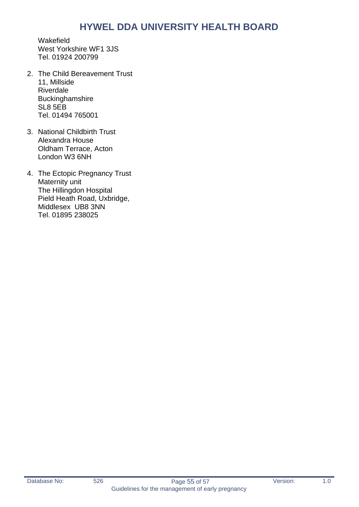Wakefield West Yorkshire WF1 3JS Tel. 01924 200799

- 2. The Child Bereavement Trust 11, Millside Riverdale Buckinghamshire SL8 5EB Tel. 01494 765001
- 3. National Childbirth Trust Alexandra House Oldham Terrace, Acton London W3 6NH
- 4. The Ectopic Pregnancy Trust Maternity unit The Hillingdon Hospital Pield Heath Road, Uxbridge, Middlesex UB8 3NN Tel. 01895 238025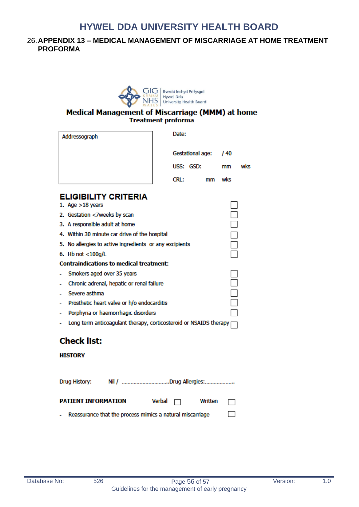#### <span id="page-55-0"></span>26.**APPENDIX 13 – MEDICAL MANAGEMENT OF MISCARRIAGE AT HOME TREATMENT PROFORMA**



#### Medical Management of Miscarriage (MMM) at home **Treatment proforma**

| Addressograph |                                                                   |  | Date: |                  |    |                |     |
|---------------|-------------------------------------------------------------------|--|-------|------------------|----|----------------|-----|
|               |                                                                   |  |       | Gestational age: |    | /40            |     |
|               |                                                                   |  |       | USS: GSD:        |    | mm             | wks |
|               |                                                                   |  | CRL:  |                  | mm | wks            |     |
|               | <b>ELIGIBILITY CRITERIA</b><br>1. Age $>18$ years                 |  |       |                  |    |                |     |
|               | 2. Gestation <7weeks by scan                                      |  |       |                  |    | $\overline{a}$ |     |
|               | 3. A responsible adult at home                                    |  |       |                  |    | $\Box$         |     |
|               | 4. Within 30 minute car drive of the hospital                     |  |       |                  |    |                |     |
|               | 5. No allergies to active ingredients or any excipients           |  |       |                  |    |                |     |
|               | 6. Hb not $<$ 100g/L                                              |  |       |                  |    |                |     |
|               | <b>Contraindications to medical treatment:</b>                    |  |       |                  |    |                |     |
|               | Smokers aged over 35 years                                        |  |       |                  |    |                |     |
| -             | Chronic adrenal, hepatic or renal failure                         |  |       |                  |    |                |     |
| -             | Severe asthma                                                     |  |       |                  |    |                |     |
| -             | Prosthetic heart valve or h/o endocarditis                        |  |       |                  |    |                |     |
| ۰             | Porphyria or haemorrhagic disorders                               |  |       |                  |    |                |     |
| ۰             | Long term anticoagulant therapy, corticosteroid or NSAIDS therapy |  |       |                  |    |                |     |

### **Check list:**

#### **HISTORY**

| Nil / Drug Allergies:<br>Drug History: |                                                           |  |  |                              |        |
|----------------------------------------|-----------------------------------------------------------|--|--|------------------------------|--------|
| <b>PATIENT INFORMATION</b>             |                                                           |  |  | Verbal $\Box$ Written $\Box$ |        |
|                                        | Reassurance that the process mimics a natural miscarriage |  |  |                              | $\Box$ |